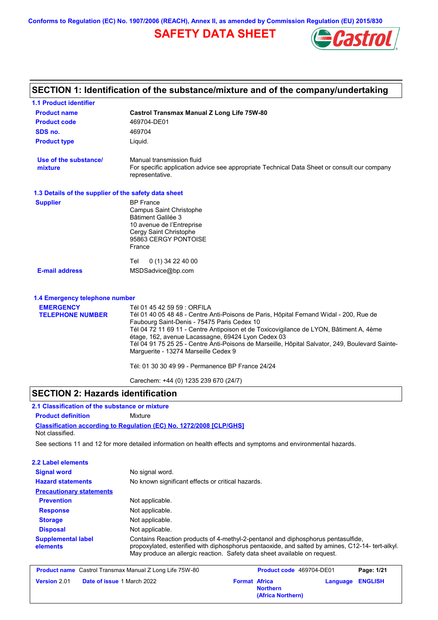**Conforms to Regulation (EC) No. 1907/2006 (REACH), Annex II, as amended by Commission Regulation (EU) 2015/830**

# **SAFETY DATA SHEET**



# **SECTION 1: Identification of the substance/mixture and of the company/undertaking**

| 1.1 Product identifier                               |                                                                                                                                                                                                                                                                                                                                                                                                                                                                                                                     |
|------------------------------------------------------|---------------------------------------------------------------------------------------------------------------------------------------------------------------------------------------------------------------------------------------------------------------------------------------------------------------------------------------------------------------------------------------------------------------------------------------------------------------------------------------------------------------------|
| <b>Product name</b>                                  | <b>Castrol Transmax Manual Z Long Life 75W-80</b>                                                                                                                                                                                                                                                                                                                                                                                                                                                                   |
| <b>Product code</b>                                  | 469704-DE01                                                                                                                                                                                                                                                                                                                                                                                                                                                                                                         |
| SDS no.                                              | 469704                                                                                                                                                                                                                                                                                                                                                                                                                                                                                                              |
| <b>Product type</b>                                  | Liquid.                                                                                                                                                                                                                                                                                                                                                                                                                                                                                                             |
| Use of the substance/<br>mixture                     | Manual transmission fluid<br>For specific application advice see appropriate Technical Data Sheet or consult our company<br>representative.                                                                                                                                                                                                                                                                                                                                                                         |
| 1.3 Details of the supplier of the safety data sheet |                                                                                                                                                                                                                                                                                                                                                                                                                                                                                                                     |
| <b>Supplier</b>                                      | <b>BP</b> France<br><b>Campus Saint Christophe</b><br>Bâtiment Galilée 3<br>10 avenue de l'Entreprise<br>Cergy Saint Christophe<br>95863 CERGY PONTOISE<br>France                                                                                                                                                                                                                                                                                                                                                   |
|                                                      | Tel<br>$0(1)$ 34 22 40 00                                                                                                                                                                                                                                                                                                                                                                                                                                                                                           |
| <b>E-mail address</b>                                | MSDSadvice@bp.com                                                                                                                                                                                                                                                                                                                                                                                                                                                                                                   |
| 1.4 Emergency telephone number                       |                                                                                                                                                                                                                                                                                                                                                                                                                                                                                                                     |
| <b>EMERGENCY</b><br><b>TELEPHONE NUMBER</b>          | Tél 01 45 42 59 59 : ORFILA<br>Tél 01 40 05 48 48 - Centre Anti-Poisons de Paris, Hôpital Fernand Widal - 200, Rue de<br>Faubourg Saint-Denis - 75475 Paris Cedex 10<br>Tél 04 72 11 69 11 - Centre Antipoison et de Toxicovigilance de LYON, Bâtiment A, 4ème<br>étage, 162, avenue Lacassagne, 69424 Lyon Cedex 03<br>Tél 04 91 75 25 25 - Centre Anti-Poisons de Marseille, Hôpital Salvator, 249, Boulevard Sainte-<br>Marguerite - 13274 Marseille Cedex 9<br>Tél: 01 30 30 49 99 - Permanence BP France 24/24 |
|                                                      |                                                                                                                                                                                                                                                                                                                                                                                                                                                                                                                     |

Carechem: +44 (0) 1235 239 670 (24/7)

#### **SECTION 2: Hazards identification**

**Classification according to Regulation (EC) No. 1272/2008 [CLP/GHS] 2.1 Classification of the substance or mixture Product definition** Mixture Not classified.

See sections 11 and 12 for more detailed information on health effects and symptoms and environmental hazards.

| 2.2 Label elements                    |                                                                                                                                                                                                                                                                   |  |  |
|---------------------------------------|-------------------------------------------------------------------------------------------------------------------------------------------------------------------------------------------------------------------------------------------------------------------|--|--|
| <b>Signal word</b>                    | No signal word.                                                                                                                                                                                                                                                   |  |  |
| <b>Hazard statements</b>              | No known significant effects or critical hazards.                                                                                                                                                                                                                 |  |  |
| <b>Precautionary statements</b>       |                                                                                                                                                                                                                                                                   |  |  |
| <b>Prevention</b>                     | Not applicable.                                                                                                                                                                                                                                                   |  |  |
| <b>Response</b>                       | Not applicable.                                                                                                                                                                                                                                                   |  |  |
| <b>Storage</b>                        | Not applicable.                                                                                                                                                                                                                                                   |  |  |
| <b>Disposal</b>                       | Not applicable.                                                                                                                                                                                                                                                   |  |  |
| <b>Supplemental label</b><br>elements | Contains Reaction products of 4-methyl-2-pentanol and diphosphorus pentasulfide,<br>propoxylated, esterified with diphosphorus pentaoxide, and salted by amines, C12-14- tert-alkyl.<br>May produce an allergic reaction. Safety data sheet available on request. |  |  |

**Product name** Castrol Transmax Manual Z Long Life 75W-80 **Product code** 469704-DE01 **Page: 1/21 Version** 2.01 **Date of issue 1 March 2022 Format Africa Northern Language ENGLISH (Africa Northern)**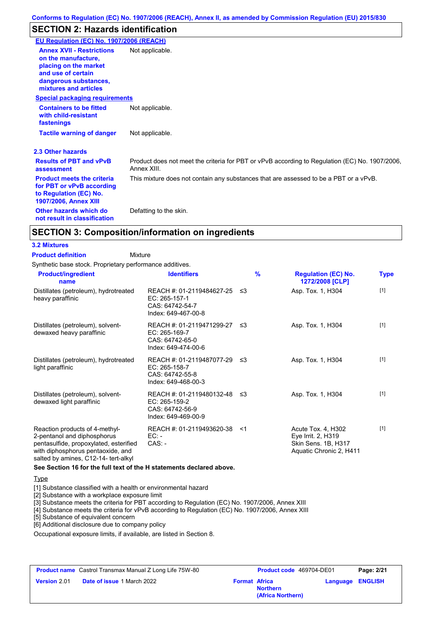## **SECTION 2: Hazards identification**

| EU Regulation (EC) No. 1907/2006 (REACH)                                                                                                                 |                                                                                                               |
|----------------------------------------------------------------------------------------------------------------------------------------------------------|---------------------------------------------------------------------------------------------------------------|
| <b>Annex XVII - Restrictions</b><br>on the manufacture.<br>placing on the market<br>and use of certain<br>dangerous substances,<br>mixtures and articles | Not applicable.                                                                                               |
| <b>Special packaging requirements</b>                                                                                                                    |                                                                                                               |
| <b>Containers to be fitted</b><br>with child-resistant<br>fastenings                                                                                     | Not applicable.                                                                                               |
| <b>Tactile warning of danger</b>                                                                                                                         | Not applicable.                                                                                               |
| 2.3 Other hazards                                                                                                                                        |                                                                                                               |
| <b>Results of PBT and vPvB</b><br>assessment                                                                                                             | Product does not meet the criteria for PBT or vPvB according to Regulation (EC) No. 1907/2006,<br>Annex XIII. |
| <b>Product meets the criteria</b><br>for PBT or vPvB according<br>to Regulation (EC) No.<br><b>1907/2006, Annex XIII</b>                                 | This mixture does not contain any substances that are assessed to be a PBT or a vPvB.                         |
| Other hazards which do<br>not result in classification                                                                                                   | Defatting to the skin.                                                                                        |

#### **SECTION 3: Composition/information on ingredients**

#### **3.2 Mixtures**

**Mixture Product definition**

Synthetic base stock. Proprietary performance additives.

| <b>Product/ingredient</b><br>name                                                                                                                                                    | <b>Identifiers</b>                                                                      | $\frac{9}{6}$ | <b>Regulation (EC) No.</b><br>1272/2008 [CLP]                                              | <b>Type</b> |
|--------------------------------------------------------------------------------------------------------------------------------------------------------------------------------------|-----------------------------------------------------------------------------------------|---------------|--------------------------------------------------------------------------------------------|-------------|
| Distillates (petroleum), hydrotreated<br>heavy paraffinic                                                                                                                            | REACH #: 01-2119484627-25 ≤3<br>EC: 265-157-1<br>CAS: 64742-54-7<br>Index: 649-467-00-8 |               | Asp. Tox. 1, H304                                                                          | $[1]$       |
| Distillates (petroleum), solvent-<br>dewaxed heavy paraffinic                                                                                                                        | REACH #: 01-2119471299-27 ≤3<br>EC: 265-169-7<br>CAS: 64742-65-0<br>Index: 649-474-00-6 |               | Asp. Tox. 1, H304                                                                          | $[1]$       |
| Distillates (petroleum), hydrotreated<br>light paraffinic                                                                                                                            | REACH #: 01-2119487077-29 ≤3<br>EC: 265-158-7<br>CAS: 64742-55-8<br>Index: 649-468-00-3 |               | Asp. Tox. 1, H304                                                                          | $[1]$       |
| Distillates (petroleum), solvent-<br>dewaxed light paraffinic                                                                                                                        | REACH #: 01-2119480132-48 ≤3<br>EC: 265-159-2<br>CAS: 64742-56-9<br>Index: 649-469-00-9 |               | Asp. Tox. 1, H304                                                                          | $[1]$       |
| Reaction products of 4-methyl-<br>2-pentanol and diphosphorus<br>pentasulfide, propoxylated, esterified<br>with diphosphorus pentaoxide, and<br>salted by amines, C12-14- tert-alkyl | REACH #: 01-2119493620-38<br>EC: -<br>$CAS: -$                                          | $<$ 1         | Acute Tox. 4, H302<br>Eye Irrit. 2, H319<br>Skin Sens. 1B, H317<br>Aquatic Chronic 2, H411 | $[1]$       |

#### **See Section 16 for the full text of the H statements declared above.**

#### **Type**

[1] Substance classified with a health or environmental hazard

[2] Substance with a workplace exposure limit

[3] Substance meets the criteria for PBT according to Regulation (EC) No. 1907/2006, Annex XIII

[4] Substance meets the criteria for vPvB according to Regulation (EC) No. 1907/2006, Annex XIII

[5] Substance of equivalent concern

[6] Additional disclosure due to company policy

Occupational exposure limits, if available, are listed in Section 8.

| <b>Product name</b> Castrol Transmax Manual Z Long Life 75W-80 |                                   | <b>Product code</b> 469704-DE01 |                                      | Page: 2/21 |                  |
|----------------------------------------------------------------|-----------------------------------|---------------------------------|--------------------------------------|------------|------------------|
| <b>Version 2.01</b>                                            | <b>Date of issue 1 March 2022</b> | <b>Format Africa</b>            | <b>Northern</b><br>(Africa Northern) |            | Language ENGLISH |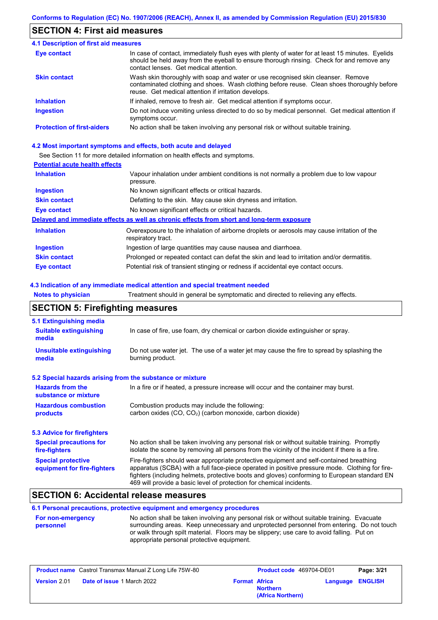#### **SECTION 4: First aid measures**

| <b>4.1 Description of first aid measures</b> |                                                                                                                                                                                                                                         |
|----------------------------------------------|-----------------------------------------------------------------------------------------------------------------------------------------------------------------------------------------------------------------------------------------|
| <b>Eye contact</b>                           | In case of contact, immediately flush eyes with plenty of water for at least 15 minutes. Eyelids<br>should be held away from the eyeball to ensure thorough rinsing. Check for and remove any<br>contact lenses. Get medical attention. |
| <b>Skin contact</b>                          | Wash skin thoroughly with soap and water or use recognised skin cleanser. Remove<br>contaminated clothing and shoes. Wash clothing before reuse. Clean shoes thoroughly before<br>reuse. Get medical attention if irritation develops.  |
| <b>Inhalation</b>                            | If inhaled, remove to fresh air. Get medical attention if symptoms occur.                                                                                                                                                               |
| <b>Ingestion</b>                             | Do not induce vomiting unless directed to do so by medical personnel. Get medical attention if<br>symptoms occur.                                                                                                                       |
| <b>Protection of first-aiders</b>            | No action shall be taken involving any personal risk or without suitable training.                                                                                                                                                      |

#### **4.2 Most important symptoms and effects, both acute and delayed**

See Section 11 for more detailed information on health effects and symptoms.

#### **Potential acute health effects**

| <b>Inhalation</b>   | Vapour inhalation under ambient conditions is not normally a problem due to low vapour<br>pressure.               |
|---------------------|-------------------------------------------------------------------------------------------------------------------|
| <b>Ingestion</b>    | No known significant effects or critical hazards.                                                                 |
| <b>Skin contact</b> | Defatting to the skin. May cause skin dryness and irritation.                                                     |
| Eye contact         | No known significant effects or critical hazards.                                                                 |
|                     | Delayed and immediate effects as well as chronic effects from short and long-term exposure                        |
| <b>Inhalation</b>   | Overexposure to the inhalation of airborne droplets or aerosols may cause irritation of the<br>respiratory tract. |
| <b>Ingestion</b>    | Ingestion of large quantities may cause nausea and diarrhoea.                                                     |
| <b>Skin contact</b> | Prolonged or repeated contact can defat the skin and lead to irritation and/or dermatitis.                        |
| Eye contact         | Potential risk of transient stinging or redness if accidental eye contact occurs.                                 |

#### **4.3 Indication of any immediate medical attention and special treatment needed**

**Notes to physician** Treatment should in general be symptomatic and directed to relieving any effects.

# **SECTION 5: Firefighting measures**

| 5.1 Extinguishing media                                                                                                    |                                                                                                                                                                                                                                                                                                                                                                   |  |  |
|----------------------------------------------------------------------------------------------------------------------------|-------------------------------------------------------------------------------------------------------------------------------------------------------------------------------------------------------------------------------------------------------------------------------------------------------------------------------------------------------------------|--|--|
| <b>Suitable extinguishing</b><br>In case of fire, use foam, dry chemical or carbon dioxide extinguisher or spray.<br>media |                                                                                                                                                                                                                                                                                                                                                                   |  |  |
| <b>Unsuitable extinguishing</b><br>media                                                                                   | Do not use water jet. The use of a water jet may cause the fire to spread by splashing the<br>burning product.                                                                                                                                                                                                                                                    |  |  |
| 5.2 Special hazards arising from the substance or mixture                                                                  |                                                                                                                                                                                                                                                                                                                                                                   |  |  |
| <b>Hazards from the</b><br>substance or mixture                                                                            | In a fire or if heated, a pressure increase will occur and the container may burst.                                                                                                                                                                                                                                                                               |  |  |
| <b>Hazardous combustion</b><br>products                                                                                    | Combustion products may include the following:<br>carbon oxides $(CO, CO2)$ (carbon monoxide, carbon dioxide)                                                                                                                                                                                                                                                     |  |  |
| 5.3 Advice for firefighters                                                                                                |                                                                                                                                                                                                                                                                                                                                                                   |  |  |
| <b>Special precautions for</b><br>fire-fighters                                                                            | No action shall be taken involving any personal risk or without suitable training. Promptly<br>isolate the scene by removing all persons from the vicinity of the incident if there is a fire.                                                                                                                                                                    |  |  |
| <b>Special protective</b><br>equipment for fire-fighters                                                                   | Fire-fighters should wear appropriate protective equipment and self-contained breathing<br>apparatus (SCBA) with a full face-piece operated in positive pressure mode. Clothing for fire-<br>fighters (including helmets, protective boots and gloves) conforming to European standard EN<br>469 will provide a basic level of protection for chemical incidents. |  |  |

#### **SECTION 6: Accidental release measures**

#### **6.1 Personal precautions, protective equipment and emergency procedures**

| <b>For non-emergency</b> | No action shall be taken involving any personal risk or without suitable training. Evacuate |
|--------------------------|---------------------------------------------------------------------------------------------|
| personnel                | surrounding areas. Keep unnecessary and unprotected personnel from entering. Do not touch   |
|                          | or walk through spilt material. Floors may be slippery; use care to avoid falling. Put on   |
|                          | appropriate personal protective equipment.                                                  |

|                     | <b>Product name</b> Castrol Transmax Manual Z Long Life 75W-80 |                      | Product code 469704-DE01             | Page: 3/21              |
|---------------------|----------------------------------------------------------------|----------------------|--------------------------------------|-------------------------|
| <b>Version 2.01</b> | <b>Date of issue 1 March 2022</b>                              | <b>Format Africa</b> | <b>Northern</b><br>(Africa Northern) | <b>Language ENGLISH</b> |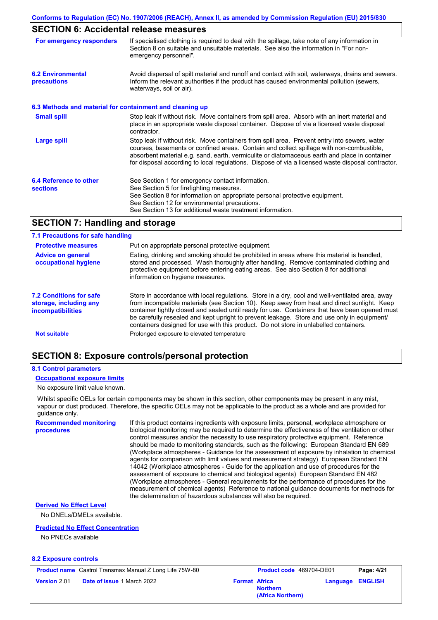# **SECTION 6: Accidental release measures**

| For emergency responders                                 | If specialised clothing is required to deal with the spillage, take note of any information in<br>Section 8 on suitable and unsuitable materials. See also the information in "For non-<br>emergency personnel".                                                                                                                                                                               |
|----------------------------------------------------------|------------------------------------------------------------------------------------------------------------------------------------------------------------------------------------------------------------------------------------------------------------------------------------------------------------------------------------------------------------------------------------------------|
| <b>6.2 Environmental</b><br>precautions                  | Avoid dispersal of spilt material and runoff and contact with soil, waterways, drains and sewers.<br>Inform the relevant authorities if the product has caused environmental pollution (sewers,<br>waterways, soil or air).                                                                                                                                                                    |
| 6.3 Methods and material for containment and cleaning up |                                                                                                                                                                                                                                                                                                                                                                                                |
| <b>Small spill</b>                                       | Stop leak if without risk. Move containers from spill area. Absorb with an inert material and<br>place in an appropriate waste disposal container. Dispose of via a licensed waste disposal<br>contractor.                                                                                                                                                                                     |
| Large spill                                              | Stop leak if without risk. Move containers from spill area. Prevent entry into sewers, water<br>courses, basements or confined areas. Contain and collect spillage with non-combustible,<br>absorbent material e.g. sand, earth, vermiculite or diatomaceous earth and place in container<br>for disposal according to local regulations. Dispose of via a licensed waste disposal contractor. |
| 6.4 Reference to other<br><b>sections</b>                | See Section 1 for emergency contact information.<br>See Section 5 for firefighting measures.<br>See Section 8 for information on appropriate personal protective equipment.<br>See Section 12 for environmental precautions.<br>See Section 13 for additional waste treatment information.                                                                                                     |

#### **SECTION 7: Handling and storage**

#### **7.1 Precautions for safe handling**

| <b>Protective measures</b>                                                           | Put on appropriate personal protective equipment.                                                                                                                                                                                                                                                                                                                                                                                                                                        |
|--------------------------------------------------------------------------------------|------------------------------------------------------------------------------------------------------------------------------------------------------------------------------------------------------------------------------------------------------------------------------------------------------------------------------------------------------------------------------------------------------------------------------------------------------------------------------------------|
| <b>Advice on general</b><br>occupational hygiene                                     | Eating, drinking and smoking should be prohibited in areas where this material is handled,<br>stored and processed. Wash thoroughly after handling. Remove contaminated clothing and<br>protective equipment before entering eating areas. See also Section 8 for additional<br>information on hygiene measures.                                                                                                                                                                         |
| <b>7.2 Conditions for safe</b><br>storage, including any<br><i>incompatibilities</i> | Store in accordance with local requlations. Store in a dry, cool and well-ventilated area, away<br>from incompatible materials (see Section 10). Keep away from heat and direct sunlight. Keep<br>container tightly closed and sealed until ready for use. Containers that have been opened must<br>be carefully resealed and kept upright to prevent leakage. Store and use only in equipment/<br>containers designed for use with this product. Do not store in unlabelled containers. |
| <b>Not suitable</b>                                                                  | Prolonged exposure to elevated temperature                                                                                                                                                                                                                                                                                                                                                                                                                                               |

#### **SECTION 8: Exposure controls/personal protection**

#### **8.1 Control parameters**

#### **Occupational exposure limits**

No exposure limit value known.

Whilst specific OELs for certain components may be shown in this section, other components may be present in any mist, vapour or dust produced. Therefore, the specific OELs may not be applicable to the product as a whole and are provided for guidance only.

**Recommended monitoring procedures**

If this product contains ingredients with exposure limits, personal, workplace atmosphere or biological monitoring may be required to determine the effectiveness of the ventilation or other control measures and/or the necessity to use respiratory protective equipment. Reference should be made to monitoring standards, such as the following: European Standard EN 689 (Workplace atmospheres - Guidance for the assessment of exposure by inhalation to chemical agents for comparison with limit values and measurement strategy) European Standard EN 14042 (Workplace atmospheres - Guide for the application and use of procedures for the assessment of exposure to chemical and biological agents) European Standard EN 482 (Workplace atmospheres - General requirements for the performance of procedures for the measurement of chemical agents) Reference to national guidance documents for methods for the determination of hazardous substances will also be required.

#### **Derived No Effect Level**

No DNELs/DMELs available.

#### **Predicted No Effect Concentration**

No PNECs available

#### **8.2 Exposure controls**

|                     | <b>Product name</b> Castrol Transmax Manual Z Long Life 75W-80 |                      | <b>Product co</b> |
|---------------------|----------------------------------------------------------------|----------------------|-------------------|
| <b>Version</b> 2.01 | <b>Date of issue 1 March 2022</b>                              | <b>Format Africa</b> |                   |

| Castrol Transmax Manual Z Long Life 75W-80 |                      | <b>Product code</b> 469704-DE01      |                         | Page: 4/21 |
|--------------------------------------------|----------------------|--------------------------------------|-------------------------|------------|
| <b>Date of issue 1 March 2022</b>          | <b>Format Africa</b> | <b>Northern</b><br>(Africa Northern) | <b>Language ENGLISH</b> |            |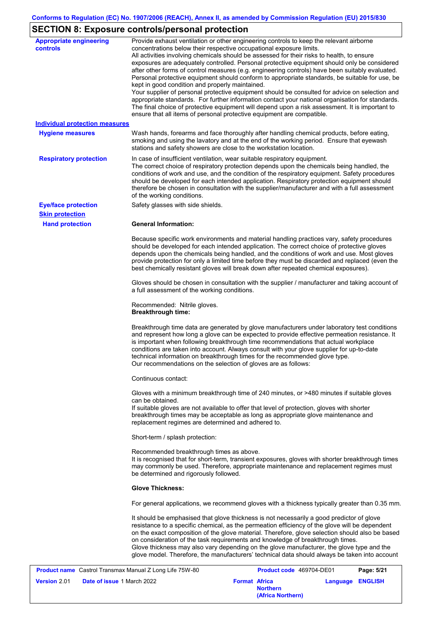# **SECTION 8: Exposure controls/personal protection**

| <b>Appropriate engineering</b><br><b>controls</b> | Provide exhaust ventilation or other engineering controls to keep the relevant airborne<br>concentrations below their respective occupational exposure limits.<br>All activities involving chemicals should be assessed for their risks to health, to ensure<br>exposures are adequately controlled. Personal protective equipment should only be considered<br>after other forms of control measures (e.g. engineering controls) have been suitably evaluated.<br>Personal protective equipment should conform to appropriate standards, be suitable for use, be<br>kept in good condition and properly maintained.<br>Your supplier of personal protective equipment should be consulted for advice on selection and<br>appropriate standards. For further information contact your national organisation for standards.<br>The final choice of protective equipment will depend upon a risk assessment. It is important to<br>ensure that all items of personal protective equipment are compatible. |
|---------------------------------------------------|---------------------------------------------------------------------------------------------------------------------------------------------------------------------------------------------------------------------------------------------------------------------------------------------------------------------------------------------------------------------------------------------------------------------------------------------------------------------------------------------------------------------------------------------------------------------------------------------------------------------------------------------------------------------------------------------------------------------------------------------------------------------------------------------------------------------------------------------------------------------------------------------------------------------------------------------------------------------------------------------------------|
| <b>Individual protection measures</b>             |                                                                                                                                                                                                                                                                                                                                                                                                                                                                                                                                                                                                                                                                                                                                                                                                                                                                                                                                                                                                         |
| <b>Hygiene measures</b>                           | Wash hands, forearms and face thoroughly after handling chemical products, before eating,<br>smoking and using the lavatory and at the end of the working period. Ensure that eyewash<br>stations and safety showers are close to the workstation location.                                                                                                                                                                                                                                                                                                                                                                                                                                                                                                                                                                                                                                                                                                                                             |
| <b>Respiratory protection</b>                     | In case of insufficient ventilation, wear suitable respiratory equipment.<br>The correct choice of respiratory protection depends upon the chemicals being handled, the<br>conditions of work and use, and the condition of the respiratory equipment. Safety procedures<br>should be developed for each intended application. Respiratory protection equipment should<br>therefore be chosen in consultation with the supplier/manufacturer and with a full assessment<br>of the working conditions.                                                                                                                                                                                                                                                                                                                                                                                                                                                                                                   |
| <b>Eye/face protection</b>                        | Safety glasses with side shields.                                                                                                                                                                                                                                                                                                                                                                                                                                                                                                                                                                                                                                                                                                                                                                                                                                                                                                                                                                       |
| <b>Skin protection</b>                            |                                                                                                                                                                                                                                                                                                                                                                                                                                                                                                                                                                                                                                                                                                                                                                                                                                                                                                                                                                                                         |
| <b>Hand protection</b>                            | <b>General Information:</b>                                                                                                                                                                                                                                                                                                                                                                                                                                                                                                                                                                                                                                                                                                                                                                                                                                                                                                                                                                             |
|                                                   | Because specific work environments and material handling practices vary, safety procedures<br>should be developed for each intended application. The correct choice of protective gloves<br>depends upon the chemicals being handled, and the conditions of work and use. Most gloves<br>provide protection for only a limited time before they must be discarded and replaced (even the<br>best chemically resistant gloves will break down after repeated chemical exposures).                                                                                                                                                                                                                                                                                                                                                                                                                                                                                                                        |
|                                                   | Gloves should be chosen in consultation with the supplier / manufacturer and taking account of<br>a full assessment of the working conditions.                                                                                                                                                                                                                                                                                                                                                                                                                                                                                                                                                                                                                                                                                                                                                                                                                                                          |
|                                                   | Recommended: Nitrile gloves.<br><b>Breakthrough time:</b>                                                                                                                                                                                                                                                                                                                                                                                                                                                                                                                                                                                                                                                                                                                                                                                                                                                                                                                                               |
|                                                   | Breakthrough time data are generated by glove manufacturers under laboratory test conditions<br>and represent how long a glove can be expected to provide effective permeation resistance. It<br>is important when following breakthrough time recommendations that actual workplace<br>conditions are taken into account. Always consult with your glove supplier for up-to-date<br>technical information on breakthrough times for the recommended glove type.<br>Our recommendations on the selection of gloves are as follows:                                                                                                                                                                                                                                                                                                                                                                                                                                                                      |
|                                                   | Continuous contact:                                                                                                                                                                                                                                                                                                                                                                                                                                                                                                                                                                                                                                                                                                                                                                                                                                                                                                                                                                                     |
|                                                   | Gloves with a minimum breakthrough time of 240 minutes, or >480 minutes if suitable gloves<br>can be obtained.<br>If suitable gloves are not available to offer that level of protection, gloves with shorter<br>breakthrough times may be acceptable as long as appropriate glove maintenance and<br>replacement regimes are determined and adhered to.                                                                                                                                                                                                                                                                                                                                                                                                                                                                                                                                                                                                                                                |
|                                                   | Short-term / splash protection:                                                                                                                                                                                                                                                                                                                                                                                                                                                                                                                                                                                                                                                                                                                                                                                                                                                                                                                                                                         |
|                                                   | Recommended breakthrough times as above.<br>It is recognised that for short-term, transient exposures, gloves with shorter breakthrough times<br>may commonly be used. Therefore, appropriate maintenance and replacement regimes must<br>be determined and rigorously followed.                                                                                                                                                                                                                                                                                                                                                                                                                                                                                                                                                                                                                                                                                                                        |
|                                                   | <b>Glove Thickness:</b>                                                                                                                                                                                                                                                                                                                                                                                                                                                                                                                                                                                                                                                                                                                                                                                                                                                                                                                                                                                 |
|                                                   | For general applications, we recommend gloves with a thickness typically greater than 0.35 mm.                                                                                                                                                                                                                                                                                                                                                                                                                                                                                                                                                                                                                                                                                                                                                                                                                                                                                                          |
|                                                   | It should be emphasised that glove thickness is not necessarily a good predictor of glove<br>resistance to a specific chemical, as the permeation efficiency of the glove will be dependent<br>on the exact composition of the glove material. Therefore, glove selection should also be based<br>on consideration of the task requirements and knowledge of breakthrough times.<br>Glove thickness may also vary depending on the glove manufacturer, the glove type and the<br>glove model. Therefore, the manufacturers' technical data should always be taken into account                                                                                                                                                                                                                                                                                                                                                                                                                          |
|                                                   | $1.22 - 7511100$                                                                                                                                                                                                                                                                                                                                                                                                                                                                                                                                                                                                                                                                                                                                                                                                                                                                                                                                                                                        |

|                                | <b>Product name</b> Castrol Transmax Manual Z Long Life 75W-80 |                      | <b>Product code</b> 469704-DE01 |                  | Page: 5/21 |
|--------------------------------|----------------------------------------------------------------|----------------------|---------------------------------|------------------|------------|
| <b>Version</b> 2.01 $^{\circ}$ | <b>Date of issue 1 March 2022</b>                              | <b>Format Africa</b> | <b>Northern</b>                 | Language ENGLISH |            |
|                                |                                                                |                      | (Africa Northern)               |                  |            |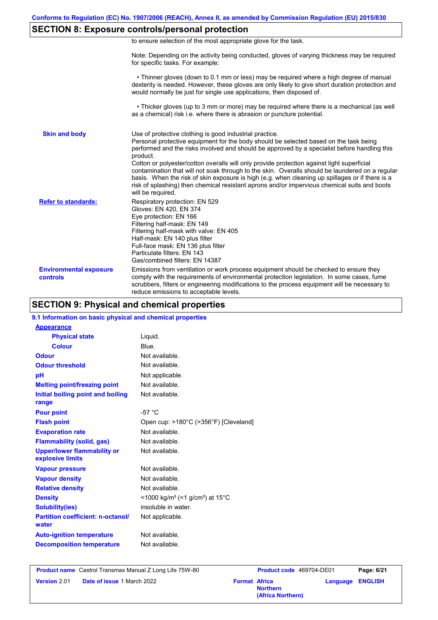### **SECTION 8: Exposure controls/personal protection**

|  |  | to ensure selection of the most appropriate glove for the task. |  |  |
|--|--|-----------------------------------------------------------------|--|--|
|  |  |                                                                 |  |  |

Note: Depending on the activity being conducted, gloves of varying thickness may be required for specific tasks. For example:

 • Thinner gloves (down to 0.1 mm or less) may be required where a high degree of manual dexterity is needed. However, these gloves are only likely to give short duration protection and would normally be just for single use applications, then disposed of.

 • Thicker gloves (up to 3 mm or more) may be required where there is a mechanical (as well as a chemical) risk i.e. where there is abrasion or puncture potential.

| <b>Skin and body</b>                             | Use of protective clothing is good industrial practice.<br>Personal protective equipment for the body should be selected based on the task being<br>performed and the risks involved and should be approved by a specialist before handling this<br>product.<br>Cotton or polyester/cotton overalls will only provide protection against light superficial<br>contamination that will not soak through to the skin. Overalls should be laundered on a regular<br>basis. When the risk of skin exposure is high (e.g. when cleaning up spillages or if there is a<br>risk of splashing) then chemical resistant aprons and/or impervious chemical suits and boots<br>will be required. |
|--------------------------------------------------|---------------------------------------------------------------------------------------------------------------------------------------------------------------------------------------------------------------------------------------------------------------------------------------------------------------------------------------------------------------------------------------------------------------------------------------------------------------------------------------------------------------------------------------------------------------------------------------------------------------------------------------------------------------------------------------|
| <b>Refer to standards:</b>                       | Respiratory protection: EN 529<br>Gloves: EN 420, EN 374<br>Eye protection: EN 166<br>Filtering half-mask: EN 149<br>Filtering half-mask with valve: EN 405<br>Half-mask: EN 140 plus filter<br>Full-face mask: EN 136 plus filter<br>Particulate filters: EN 143<br>Gas/combined filters: EN 14387                                                                                                                                                                                                                                                                                                                                                                                   |
| <b>Environmental exposure</b><br><b>controls</b> | Emissions from ventilation or work process equipment should be checked to ensure they<br>comply with the requirements of environmental protection legislation. In some cases, fume<br>scrubbers, filters or engineering modifications to the process equipment will be necessary to<br>reduce emissions to acceptable levels.                                                                                                                                                                                                                                                                                                                                                         |

### **SECTION 9: Physical and chemical properties**

| 9.1 Information on basic physical and chemical properties |                                                                      |
|-----------------------------------------------------------|----------------------------------------------------------------------|
| <b>Appearance</b>                                         |                                                                      |
| <b>Physical state</b>                                     | Liquid.                                                              |
| <b>Colour</b>                                             | Blue.                                                                |
| <b>Odour</b>                                              | Not available.                                                       |
| <b>Odour threshold</b>                                    | Not available.                                                       |
| pH                                                        | Not applicable.                                                      |
| <b>Melting point/freezing point</b>                       | Not available.                                                       |
| Initial boiling point and boiling<br>range                | Not available.                                                       |
| <b>Pour point</b>                                         | $-57 °C$                                                             |
| <b>Flash point</b>                                        | Open cup: >180°C (>356°F) [Cleveland]                                |
| <b>Evaporation rate</b>                                   | Not available.                                                       |
| <b>Flammability (solid, gas)</b>                          | Not available.                                                       |
| <b>Upper/lower flammability or</b><br>explosive limits    | Not available.                                                       |
| <b>Vapour pressure</b>                                    | Not available.                                                       |
| <b>Vapour density</b>                                     | Not available.                                                       |
| <b>Relative density</b>                                   | Not available.                                                       |
| <b>Density</b>                                            | <1000 kg/m <sup>3</sup> (<1 g/cm <sup>3</sup> ) at 15 <sup>°</sup> C |
| <b>Solubility(ies)</b>                                    | insoluble in water.                                                  |
| <b>Partition coefficient: n-octanol/</b><br>water         | Not applicable.                                                      |
| <b>Auto-ignition temperature</b>                          | Not available.                                                       |
| <b>Decomposition temperature</b>                          | Not available.                                                       |
|                                                           |                                                                      |

**Product name** Castrol Transmax Manual Z Long Life 75W-80 **Product code** 469704-DE01 **Page: 6/21 Version** 2.01 **Date of issue 1 March 2022 Format Africa** 

**Northern Language ENGLISH (Africa Northern)**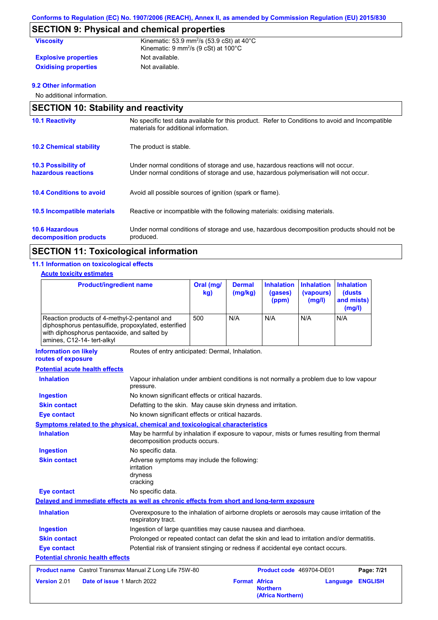# **SECTION 9: Physical and chemical properties**

| <b>Viscosity</b>            | Kinematic: 53.9 mm <sup>2</sup> /s (53.9 cSt) at $40^{\circ}$ C<br>Kinematic: $9 \text{ mm}^2\text{/s}$ (9 cSt) at 100 $^{\circ}$ C |
|-----------------------------|-------------------------------------------------------------------------------------------------------------------------------------|
| <b>Explosive properties</b> | Not available.                                                                                                                      |
| <b>Oxidising properties</b> | Not available.                                                                                                                      |

#### **9.2 Other information**

No additional information.

| <b>SECTION 10: Stability and reactivity</b>       |                                                                                                                                                                         |
|---------------------------------------------------|-------------------------------------------------------------------------------------------------------------------------------------------------------------------------|
| <b>10.1 Reactivity</b>                            | No specific test data available for this product. Refer to Conditions to avoid and Incompatible<br>materials for additional information.                                |
| <b>10.2 Chemical stability</b>                    | The product is stable.                                                                                                                                                  |
| <b>10.3 Possibility of</b><br>hazardous reactions | Under normal conditions of storage and use, hazardous reactions will not occur.<br>Under normal conditions of storage and use, hazardous polymerisation will not occur. |
| <b>10.4 Conditions to avoid</b>                   | Avoid all possible sources of ignition (spark or flame).                                                                                                                |
| 10.5 Incompatible materials                       | Reactive or incompatible with the following materials: oxidising materials.                                                                                             |
| <b>10.6 Hazardous</b><br>decomposition products   | Under normal conditions of storage and use, hazardous decomposition products should not be<br>produced.                                                                 |

# **SECTION 11: Toxicological information**

#### **11.1 Information on toxicological effects**

#### **Acute toxicity estimates**

| <b>Product/ingredient name</b>                                                                                                                                                   | Oral (mg/<br>kg) | <b>Dermal</b><br>(mg/kg) | <b>Inhalation</b><br>(gases)<br>(ppm) | <b>Inhalation</b><br>(vapours)<br>(mg/l) | <b>Inhalation</b><br>(dusts)<br>and mists)<br>(mg/l) |
|----------------------------------------------------------------------------------------------------------------------------------------------------------------------------------|------------------|--------------------------|---------------------------------------|------------------------------------------|------------------------------------------------------|
| Reaction products of 4-methyl-2-pentanol and<br>diphosphorus pentasulfide, propoxylated, esterified<br>with diphosphorus pentaoxide, and salted by<br>amines, C12-14- tert-alkyl | 500              | N/A                      | N/A                                   | N/A                                      | N/A                                                  |

**Information on likely** 

Routes of entry anticipated: Dermal, Inhalation.

**routes of exposure**

| <b>Potential acute health effects</b>   |                                                                                                                             |
|-----------------------------------------|-----------------------------------------------------------------------------------------------------------------------------|
| <b>Inhalation</b>                       | Vapour inhalation under ambient conditions is not normally a problem due to low vapour<br>pressure.                         |
| <b>Ingestion</b>                        | No known significant effects or critical hazards.                                                                           |
| <b>Skin contact</b>                     | Defatting to the skin. May cause skin dryness and irritation.                                                               |
| <b>Eye contact</b>                      | No known significant effects or critical hazards.                                                                           |
|                                         | Symptoms related to the physical, chemical and toxicological characteristics                                                |
| <b>Inhalation</b>                       | May be harmful by inhalation if exposure to vapour, mists or fumes resulting from thermal<br>decomposition products occurs. |
| <b>Ingestion</b>                        | No specific data.                                                                                                           |
| <b>Skin contact</b>                     | Adverse symptoms may include the following:<br>irritation<br>dryness<br>cracking                                            |
| <b>Eye contact</b>                      | No specific data.                                                                                                           |
|                                         | Delayed and immediate effects as well as chronic effects from short and long-term exposure                                  |
| <b>Inhalation</b>                       | Overexposure to the inhalation of airborne droplets or aerosols may cause irritation of the<br>respiratory tract.           |
| <b>Ingestion</b>                        | Ingestion of large quantities may cause nausea and diarrhoea.                                                               |
| <b>Skin contact</b>                     | Prolonged or repeated contact can defat the skin and lead to irritation and/or dermatitis.                                  |
| <b>Eye contact</b>                      | Potential risk of transient stinging or redness if accidental eye contact occurs.                                           |
| <b>Potential chronic health effects</b> |                                                                                                                             |
|                                         | Product name Castrol Transmax Manual Z Long Life 75W-80<br>Product code 469704-DE01<br>Page: 7/21                           |
| Version 2.01                            | Date of issue 1 March 2022<br><b>Format Africa</b><br><b>ENGLISH</b><br>Language<br><b>Northern</b><br>(Africa Northern)    |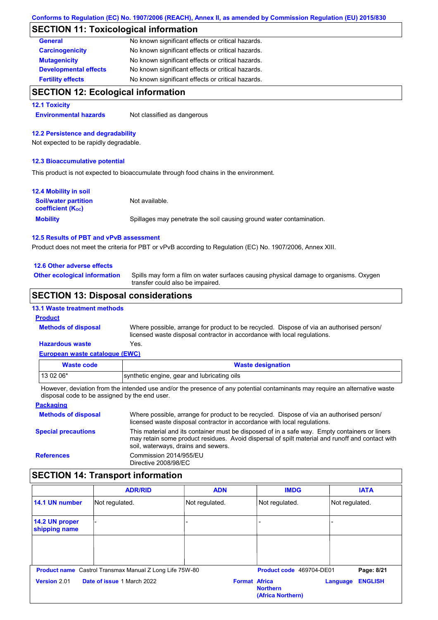#### **SECTION 11: Toxicological information**

| <b>General</b>               | No known significant effects or critical hazards. |
|------------------------------|---------------------------------------------------|
| <b>Carcinogenicity</b>       | No known significant effects or critical hazards. |
| <b>Mutagenicity</b>          | No known significant effects or critical hazards. |
| <b>Developmental effects</b> | No known significant effects or critical hazards. |
| <b>Fertility effects</b>     | No known significant effects or critical hazards. |

#### **SECTION 12: Ecological information**

#### **12.1 Toxicity**

**Environmental hazards** Not classified as dangerous

#### **12.2 Persistence and degradability**

Not expected to be rapidly degradable.

#### **12.3 Bioaccumulative potential**

This product is not expected to bioaccumulate through food chains in the environment.

| <b>12.4 Mobility in soil</b>                                  |                                                                      |
|---------------------------------------------------------------|----------------------------------------------------------------------|
| <b>Soil/water partition</b><br>coefficient (K <sub>oc</sub> ) | Not available.                                                       |
| <b>Mobility</b>                                               | Spillages may penetrate the soil causing ground water contamination. |

#### **12.5 Results of PBT and vPvB assessment**

Product does not meet the criteria for PBT or vPvB according to Regulation (EC) No. 1907/2006, Annex XIII.

#### **12.6 Other adverse effects**

**Other ecological information**

Spills may form a film on water surfaces causing physical damage to organisms. Oxygen transfer could also be impaired.

#### **SECTION 13: Disposal considerations**

| <b>13.1 Waste treatment methods</b> |  |
|-------------------------------------|--|
| <b>Product</b>                      |  |

**Methods of disposal**

**Hazardous waste** Yes. Where possible, arrange for product to be recycled. Dispose of via an authorised person/ licensed waste disposal contractor in accordance with local regulations.

#### **European waste catalogue (EWC)**

| Waste code | <b>Waste designation</b>                    |
|------------|---------------------------------------------|
| $130206*$  | synthetic engine, gear and lubricating oils |
| .          |                                             |

However, deviation from the intended use and/or the presence of any potential contaminants may require an alternative waste disposal code to be assigned by the end user.

#### **Packaging Methods of disposal Special precautions** Where possible, arrange for product to be recycled. Dispose of via an authorised person/ licensed waste disposal contractor in accordance with local regulations. This material and its container must be disposed of in a safe way. Empty containers or liners may retain some product residues. Avoid dispersal of spilt material and runoff and contact with soil, waterways, drains and sewers. **References** Commission 2014/955/EU Directive 2008/98/EC

#### **SECTION 14: Transport information**

|                                 | <b>ADR/RID</b>                                                 | <b>ADN</b>           | <b>IMDG</b>                          | <b>IATA</b>                |  |
|---------------------------------|----------------------------------------------------------------|----------------------|--------------------------------------|----------------------------|--|
| 14.1 UN number                  | Not regulated.                                                 | Not regulated.       | Not regulated.                       | Not regulated.             |  |
| 14.2 UN proper<br>shipping name |                                                                | ۰                    |                                      |                            |  |
|                                 |                                                                |                      |                                      |                            |  |
|                                 | <b>Product name</b> Castrol Transmax Manual Z Long Life 75W-80 |                      | Product code 469704-DE01             | Page: 8/21                 |  |
| Version 2.01                    | Date of issue 1 March 2022                                     | <b>Format Africa</b> | <b>Northern</b><br>(Africa Northern) | <b>ENGLISH</b><br>Language |  |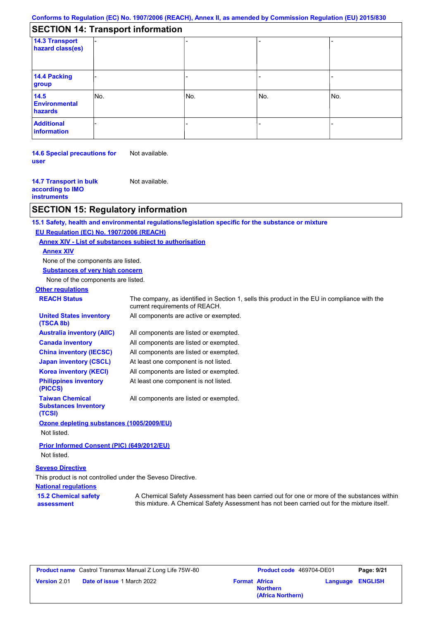| <b>SECTION 14: Transport information</b> |  |
|------------------------------------------|--|
|------------------------------------------|--|

| 14.3 Transport<br>hazard class(es) |     |     |     |     |  |
|------------------------------------|-----|-----|-----|-----|--|
| 14.4 Packing<br>group              |     |     |     |     |  |
| 14.5<br>Environmental<br>hazards   | No. | No. | No. | No. |  |
| <b>Additional</b><br>information   |     |     |     |     |  |

**14.6 Special precautions for user** Not available.

**14.7 Transport in bulk according to IMO instruments** Not available.

#### **SECTION 15: Regulatory information**

**15.1 Safety, health and environmental regulations/legislation specific for the substance or mixture**

#### **EU Regulation (EC) No. 1907/2006 (REACH)**

**Annex XIV - List of substances subject to authorisation**

**Annex XIV**

None of the components are listed.

**Substances of very high concern**

None of the components are listed.

**Other regulations REACH Status** The company, as identified in Section 1, sells this product in the EU in compliance with the current requirements of REACH. All components are listed or exempted. All components are listed or exempted. All components are listed or exempted. At least one component is not listed. All components are active or exempted. All components are listed or exempted. At least one component is not listed. **United States inventory (TSCA 8b) Australia inventory (AIIC) Canada inventory China inventory (IECSC) Japan inventory (CSCL) Korea inventory (KECI) Philippines inventory (PICCS) Taiwan Chemical Substances Inventory (TCSI)** All components are listed or exempted.

#### **Ozone depleting substances (1005/2009/EU)**

Not listed.

**Prior Informed Consent (PIC) (649/2012/EU)** Not listed.

#### **Seveso Directive**

This product is not controlled under the Seveso Directive.

**National regulations 15.2 Chemical safety** 

**assessment**

A Chemical Safety Assessment has been carried out for one or more of the substances within this mixture. A Chemical Safety Assessment has not been carried out for the mixture itself.

|                     | <b>Product name</b> Castrol Transmax Manual Z Long Life 75W-80 |                      | <b>Product co</b> |
|---------------------|----------------------------------------------------------------|----------------------|-------------------|
| <b>Version 2.01</b> | <b>Date of issue 1 March 2022</b>                              | <b>Format Africa</b> |                   |

| Castrol Transmax Manual Z Long Life 75W-80 |                      | <b>Product code</b> 469704-DE01 |                         | Page: 9/21 |
|--------------------------------------------|----------------------|---------------------------------|-------------------------|------------|
| <b>Date of issue 1 March 2022</b>          | <b>Format Africa</b> | <b>Northern</b>                 | <b>Language ENGLISH</b> |            |
|                                            |                      | (Africa Northern)               |                         |            |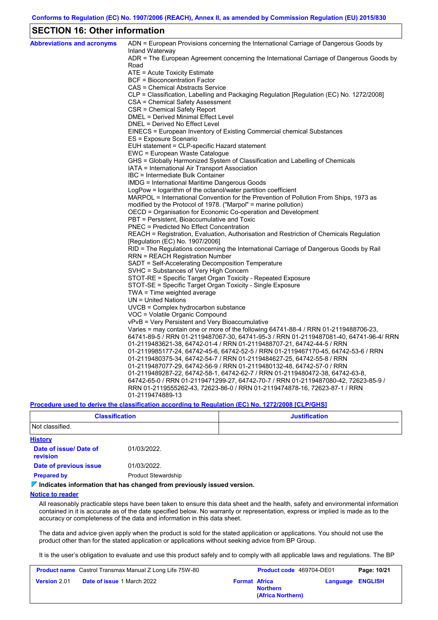#### **SECTION 16: Other information**

| <b>Abbreviations and acronyms</b> | ADN = European Provisions concerning the International Carriage of Dangerous Goods by                                                                              |
|-----------------------------------|--------------------------------------------------------------------------------------------------------------------------------------------------------------------|
|                                   | Inland Waterway<br>ADR = The European Agreement concerning the International Carriage of Dangerous Goods by                                                        |
|                                   | Road                                                                                                                                                               |
|                                   | ATE = Acute Toxicity Estimate                                                                                                                                      |
|                                   | <b>BCF</b> = Bioconcentration Factor                                                                                                                               |
|                                   | CAS = Chemical Abstracts Service                                                                                                                                   |
|                                   | CLP = Classification, Labelling and Packaging Regulation [Regulation (EC) No. 1272/2008]                                                                           |
|                                   | CSA = Chemical Safety Assessment                                                                                                                                   |
|                                   | CSR = Chemical Safety Report                                                                                                                                       |
|                                   | DMEL = Derived Minimal Effect Level                                                                                                                                |
|                                   | DNEL = Derived No Effect Level                                                                                                                                     |
|                                   | EINECS = European Inventory of Existing Commercial chemical Substances                                                                                             |
|                                   | ES = Exposure Scenario                                                                                                                                             |
|                                   | EUH statement = CLP-specific Hazard statement                                                                                                                      |
|                                   | EWC = European Waste Catalogue                                                                                                                                     |
|                                   | GHS = Globally Harmonized System of Classification and Labelling of Chemicals                                                                                      |
|                                   | IATA = International Air Transport Association                                                                                                                     |
|                                   | IBC = Intermediate Bulk Container                                                                                                                                  |
|                                   | IMDG = International Maritime Dangerous Goods                                                                                                                      |
|                                   | LogPow = logarithm of the octanol/water partition coefficient<br>MARPOL = International Convention for the Prevention of Pollution From Ships, 1973 as             |
|                                   | modified by the Protocol of 1978. ("Marpol" = marine pollution)                                                                                                    |
|                                   | OECD = Organisation for Economic Co-operation and Development                                                                                                      |
|                                   | PBT = Persistent, Bioaccumulative and Toxic                                                                                                                        |
|                                   | <b>PNEC</b> = Predicted No Effect Concentration                                                                                                                    |
|                                   | REACH = Registration, Evaluation, Authorisation and Restriction of Chemicals Regulation                                                                            |
|                                   | [Regulation (EC) No. 1907/2006]                                                                                                                                    |
|                                   | RID = The Regulations concerning the International Carriage of Dangerous Goods by Rail                                                                             |
|                                   | <b>RRN = REACH Registration Number</b>                                                                                                                             |
|                                   | SADT = Self-Accelerating Decomposition Temperature                                                                                                                 |
|                                   | SVHC = Substances of Very High Concern                                                                                                                             |
|                                   | STOT-RE = Specific Target Organ Toxicity - Repeated Exposure                                                                                                       |
|                                   | STOT-SE = Specific Target Organ Toxicity - Single Exposure                                                                                                         |
|                                   | $TWA = Time weighted average$                                                                                                                                      |
|                                   | $UN = United Nations$                                                                                                                                              |
|                                   | UVCB = Complex hydrocarbon substance                                                                                                                               |
|                                   | VOC = Volatile Organic Compound                                                                                                                                    |
|                                   | vPvB = Very Persistent and Very Bioaccumulative                                                                                                                    |
|                                   | Varies = may contain one or more of the following $64741-88-4$ / RRN 01-2119488706-23,                                                                             |
|                                   | 64741-89-5 / RRN 01-2119487067-30, 64741-95-3 / RRN 01-2119487081-40, 64741-96-4/ RRN                                                                              |
|                                   | 01-2119483621-38, 64742-01-4 / RRN 01-2119488707-21, 64742-44-5 / RRN                                                                                              |
|                                   | 01-2119985177-24, 64742-45-6, 64742-52-5 / RRN 01-2119467170-45, 64742-53-6 / RRN                                                                                  |
|                                   | 01-2119480375-34, 64742-54-7 / RRN 01-2119484627-25, 64742-55-8 / RRN                                                                                              |
|                                   | 01-2119487077-29, 64742-56-9 / RRN 01-2119480132-48, 64742-57-0 / RRN                                                                                              |
|                                   | 01-2119489287-22, 64742-58-1, 64742-62-7 / RRN 01-2119480472-38, 64742-63-8,<br>64742-65-0 / RRN 01-2119471299-27, 64742-70-7 / RRN 01-2119487080-42, 72623-85-9 / |
|                                   | RRN 01-2119555262-43, 72623-86-0 / RRN 01-2119474878-16, 72623-87-1 / RRN                                                                                          |
|                                   | 01-2119474889-13                                                                                                                                                   |
|                                   | Description (including the plane) Continue according to Deputation (CO) No. 4979/9000 [O] D/OU01                                                                   |

**Procedure used to derive the classification according to Regulation (EC) No. 1272/2008 [CLP/GHS]**

| <b>Classification</b>                     |                            | <b>Justification</b> |
|-------------------------------------------|----------------------------|----------------------|
| Not classified.                           |                            |                      |
| <b>History</b>                            |                            |                      |
| Date of issue/ Date of<br><b>revision</b> | 01/03/2022.                |                      |
| Date of previous issue                    | 01/03/2022.                |                      |
| <b>Prepared by</b>                        | <b>Product Stewardship</b> |                      |

#### **Indicates information that has changed from previously issued version.**

#### **Notice to reader**

All reasonably practicable steps have been taken to ensure this data sheet and the health, safety and environmental information contained in it is accurate as of the date specified below. No warranty or representation, express or implied is made as to the accuracy or completeness of the data and information in this data sheet.

The data and advice given apply when the product is sold for the stated application or applications. You should not use the product other than for the stated application or applications without seeking advice from BP Group.

It is the user's obligation to evaluate and use this product safely and to comply with all applicable laws and regulations. The BP

|                     | <b>Product name</b> Castrol Transmax Manual Z Long Life 75W-80 |                      | <b>Product code</b> 469704-DE01      |                         | Page: 10/21 |
|---------------------|----------------------------------------------------------------|----------------------|--------------------------------------|-------------------------|-------------|
| <b>Version 2.01</b> | <b>Date of issue 1 March 2022</b>                              | <b>Format Africa</b> | <b>Northern</b><br>(Africa Northern) | <b>Language ENGLISH</b> |             |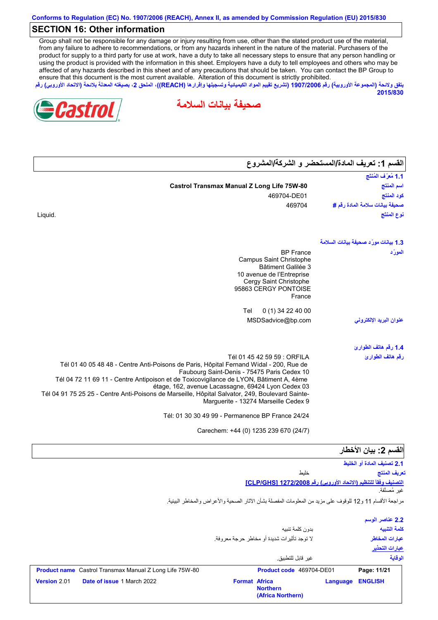#### **SECTION 16: Other information**

Group shall not be responsible for any damage or injury resulting from use, other than the stated product use of the material, from any failure to adhere to recommendations, or from any hazards inherent in the nature of the material. Purchasers of the product for supply to a third party for use at work, have a duty to take all necessary steps to ensure that any person handling or using the product is provided with the information in this sheet. Employers have a duty to tell employees and others who may be affected of any hazards described in this sheet and of any precautions that should be taken. You can contact the BP Group to ensure that this document is the most current available. Alteration of this document is strictly prohibited.

**یتفق ولائحة (المجموعة الأوروبیة) رقم 1907/2006 (تشریع تقییم المواد الكیمیائیة وتسجیلھا وإقرارھا (REACH((، الملحق ،2 بصیغتھ المعدلة بلائحة (الاتحاد الأوروبي) رقم 2015/830**





| القسم 1: تعريف المادة/المستحضر و الشركة/المشروع |                                                                                                                                              |
|-------------------------------------------------|----------------------------------------------------------------------------------------------------------------------------------------------|
| 1.1 مُعرَّف المُنتَج                            |                                                                                                                                              |
| اسم المنتج                                      | <b>Castrol Transmax Manual Z Long Life 75W-80</b>                                                                                            |
| كود المنتج                                      | 469704-DE01                                                                                                                                  |
| صحيفة بيانات سلامة المادة رفَم #                | 469704                                                                                                                                       |
| نوع المنتَج                                     | Liquid.                                                                                                                                      |
| 1.3 بيانات مورّد صحيفة بيانات السلامة           |                                                                                                                                              |
| المورّد                                         | <b>BP</b> France                                                                                                                             |
|                                                 | Campus Saint Christophe                                                                                                                      |
|                                                 | Bâtiment Galilée 3<br>10 avenue de l'Entreprise                                                                                              |
|                                                 | Cergy Saint Christophe                                                                                                                       |
|                                                 | 95863 CERGY PONTOISE                                                                                                                         |
|                                                 | France                                                                                                                                       |
|                                                 | 0 (1) 34 22 40 00<br>Tel                                                                                                                     |
| عنوان البريد الإلكترونى                         | MSDSadvice@bp.com                                                                                                                            |
| 1.4 رقم هاتف الطوارئ                            |                                                                                                                                              |
| رقم هاتف الطوارئ                                | Tél 01 45 42 59 59 : ORFILA                                                                                                                  |
|                                                 | Tél 01 40 05 48 48 - Centre Anti-Poisons de Paris, Hôpital Fernand Widal - 200, Rue de                                                       |
|                                                 | Faubourg Saint-Denis - 75475 Paris Cedex 10                                                                                                  |
|                                                 | Tél 04 72 11 69 11 - Centre Antipoison et de Toxicovigilance de LYON, Bâtiment A, 4ème<br>étage, 162, avenue Lacassagne, 69424 Lyon Cedex 03 |
|                                                 | Tél 04 91 75 25 25 - Centre Anti-Poisons de Marseille, Hôpital Salvator, 249, Boulevard Sainte-                                              |
|                                                 | Marguerite - 13274 Marseille Cedex 9                                                                                                         |
|                                                 | Tél: 01 30 30 49 99 - Permanence BP France 24/24                                                                                             |
|                                                 | Carechem: +44 (0) 1235 239 670 (24/7)                                                                                                        |
| القسم 2: بيان الأخطار                           |                                                                                                                                              |
| 2.1 تصنيف المادة أو الخليط                      |                                                                                                                                              |
| تعريف المنتج                                    | خليط                                                                                                                                         |

مراجعة الأقسام 11 و12 للوقوف على مزید من المعلومات المفصلة بشأن الآثار الصحیة والأعراض والمخاطر البیئیة.

|                                                                | بدون كلمة تنبيه<br>لا توجد تأثيرات شديدة أو مخاطر حرجة معروفة. | 2.2 عناصر الوسم<br>كلمة التنبيه<br>عبارات المخاطر<br>عبارات التحذير |
|----------------------------------------------------------------|----------------------------------------------------------------|---------------------------------------------------------------------|
|                                                                | غبر قابل للتطبيق                                               | الوقاية                                                             |
| <b>Product name</b> Castrol Transmax Manual Z Long Life 75W-80 | Product code 469704-DE01                                       | Page: 11/21                                                         |
| <b>Date of issue 1 March 2022</b><br>Version 2.01              | <b>Format Africa</b><br><b>Northern</b><br>(Africa Northern)   | <b>ENGLISH</b><br><b>Language</b>                                   |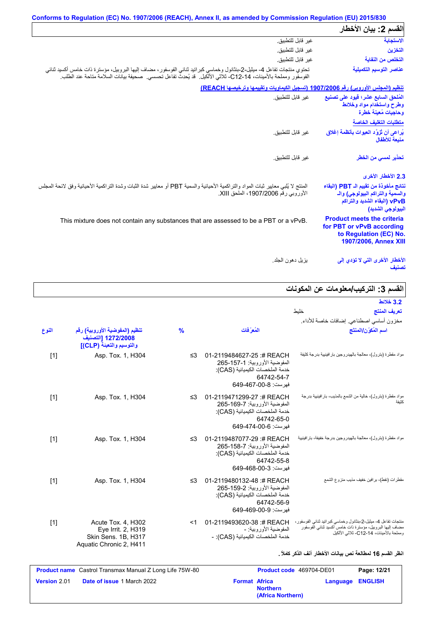| القسم 2: بيان الأخطار                                                                                                          |                                                                                                                                                                                                                                            |
|--------------------------------------------------------------------------------------------------------------------------------|--------------------------------------------------------------------------------------------------------------------------------------------------------------------------------------------------------------------------------------------|
| الاستجابة                                                                                                                      | غير قابل <mark>للتطبيق.</mark>                                                                                                                                                                                                             |
| التخزين                                                                                                                        | غير قابل للتطبيق.                                                                                                                                                                                                                          |
| التخلص من النفاية                                                                                                              | غير قابل للتطبيق.                                                                                                                                                                                                                          |
| عناصر التوسيم التكميلية                                                                                                        | تحتوي منتجات تفاعل 4- ميثيل-2-بنثانول وخماسي كبراتيد ثنائي الفوسفور، مضـاف إليها البروبيل، مؤسترة ذات خامس أكسيد ثنائبي<br>الفوسفور ومملحة بالأمينات، C12-14، ثلاثي الألكيل.  قد يُحدِث تفاعل تحسسي.  صحيفة بيانات السلامة متاحة عند الطلب |
|                                                                                                                                | <u>تنظيم (المجلس الأوروبي) رقم 1907/2006 (تسجيل الكيماويات وتقييمها وترخيصها REACH)</u>                                                                                                                                                    |
| المُلحق السابع عشر؛ فيود على تصنيع<br>وطرح واستخدام مواد وخلائط<br>وحاجيات مُعينة خطرة                                         | غبر قابل للتطبيق                                                                                                                                                                                                                           |
| متطلبات التغليف الخاصة                                                                                                         |                                                                                                                                                                                                                                            |
| يُراعى أن تُزوَّد العبوات بأنظمة إغلاق<br>منبعة للأطفال                                                                        | غير  قابل للتطبيق.                                                                                                                                                                                                                         |
| تحذير ل <i>مسى</i> من الخطر                                                                                                    | غير  قابل للتطبيق.                                                                                                                                                                                                                         |
| 2.3 الأخطار الأخرى                                                                                                             |                                                                                                                                                                                                                                            |
| نتائج مأخوذة من تقييم الـ PBT (البقاء<br>والسمية والتراكم البيولوجي) والـ<br>vPvB (البقاء الشديد والتراكم<br>البيولوجي الشديد) | المنتج لا يُلبي معايير ثبات المواد والتراكمية الأحيائية والسمية PBT أو معايير شدة الثبات وشدة التراكمية الأحيائية وفق لانحة المجلس<br>الأوروبي رقم 1907/2006، الملحق XIII.                                                                 |
| <b>Product meets the criteria</b><br>for PBT or vPvB according<br>to Regulation (EC) No.<br>1907/2006, Annex XIII              | This mixture does not contain any substances that are assessed to be a PBT or a vPvB.                                                                                                                                                      |
| الأخطار الأخرى التى لا تؤدي إل <i>ى</i><br>تصنيف                                                                               | بز بل دهو ن الجلد.                                                                                                                                                                                                                         |

# **القسم :3 التركیب/معلومات عن المكونات**

| سم ن. <u>اس چې ا</u> ست                                                                                                                                                |                                                                                                                                       |               |                                                                                            |       |
|------------------------------------------------------------------------------------------------------------------------------------------------------------------------|---------------------------------------------------------------------------------------------------------------------------------------|---------------|--------------------------------------------------------------------------------------------|-------|
| 3.2 خلائط                                                                                                                                                              |                                                                                                                                       |               |                                                                                            |       |
| تعريف المنتج<br>خلبط                                                                                                                                                   |                                                                                                                                       |               |                                                                                            |       |
| مخزون أساسي اصطناعي إضافات خاصة للأداء                                                                                                                                 |                                                                                                                                       |               |                                                                                            |       |
| اسم المُكوّن/المنتَج                                                                                                                                                   | المُعرَفات                                                                                                                            | $\frac{9}{6}$ | تنظيم (المفوضية الأوروبية) رقم<br>1272/2008 [التصنيف<br>والتوسيم والتعبئة (CLP)]           | النوع |
| مواد مقطرة (بترول)، معالجة بالهيدروجين بار افينيية بدرجة كثيفة                                                                                                         | 01-2119484627-25:# REACH<br>المفوضية الأوروبية: 1-157-265<br>خدمة الملخصات الكيميائية (CAS):<br>64742-54-7<br>فهرست: 8-00-649-649     | ≤3            | Asp. Tox. 1, H304                                                                          | $[1]$ |
| مواد مقطرة (بترول)، خالية من الشمع بالمذيب، بار افينيية بدرجة<br>كثيفة                                                                                                 | 01-2119471299-27:# REACH<br>المفوضية الأور وبية: 7-169-265<br>خدمة الملخصات الكيميائية (CAS):<br>64742-65-0<br>فهرست: 649-474-649     | ≤3            | Asp. Tox. 1, H304                                                                          | $[1]$ |
| مواد مقطرة (بترول)، معالجة بالهيدروجين بدرجة خفيفة، بارافينيية                                                                                                         | 01-2119487077-29 :# REACH<br>المفوضية الأور وبية: 7-158-265<br>خدمة الملخصات الكيميائية (CAS):<br>64742-55-8<br>فهرست: 3-00-649-649   | ≤3            | Asp. Tox. 1, H304                                                                          | $[1]$ |
| مقطر ات (نفط)، بر افین خفیف مذیب منز و ع الشمع                                                                                                                         | 01-2119480132-48 :# REACH<br>المفوضية الأور وبية: 2-159-265<br>خدمة الملخصات الكيميائية (CAS):<br>64742-56-9<br>فهرست: 649-469-00-649 | ≤3            | Asp. Tox. 1, H304                                                                          | $[1]$ |
| منتجات تفاعل 4- ميثيل-2-بنثانول وخماسي كبراتيد ثنائي الفوسفور،<br>مضاف إليها البروبيل، مؤسترة ذات خامس أكسيد ثناني الفوسفور<br>ومملحة بالأمينات، C12-14- ثلاثي الألكيل | 01-2119493620-38 :# REACH<br>المفوضية الأور وبية: -<br>خدمة الملخصات الكيميائية (CAS): -                                              | <1            | Acute Tox. 4, H302<br>Eye Irrit. 2, H319<br>Skin Sens, 1B, H317<br>Aquatic Chronic 2, H411 | $[1]$ |

#### **انظر القسم 16 لمطالعة نص بیانات الأخطار آنف الذكر كاملاً .**

|                     | <b>Product name</b> Castrol Transmax Manual Z Long Life 75W-80 |                      | Product code 469704-DE01             | Page: 12/21             |
|---------------------|----------------------------------------------------------------|----------------------|--------------------------------------|-------------------------|
| <b>Version 2.01</b> | <b>Date of issue 1 March 2022</b>                              | <b>Format Africa</b> | <b>Northern</b><br>(Africa Northern) | <b>Language ENGLISH</b> |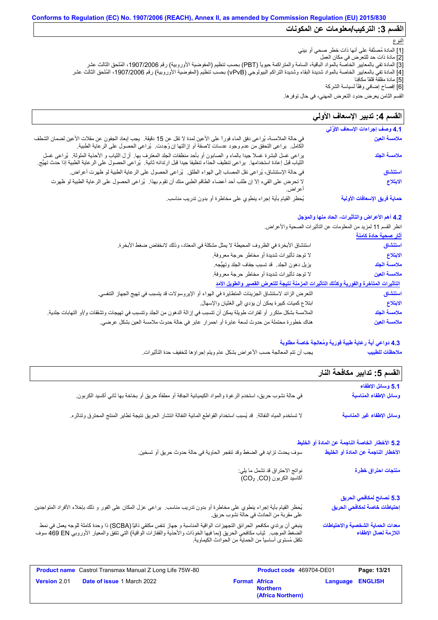# **Conforms to Regulation (EC) No. 1907/2006 (REACH), Annex II, as amended by Commission Regulation (EU) 2015/830**

# **القسم :3 التركیب/معلومات عن المكونات**

#### النوع

- [1] المادة مُصنَّفة على أنھا ذات خطر صحي أو بیئي
	- [2] مادة ذات حد للتعرض في مكان العمل
- [3] المادة تفي بالمعاییر الخاصة بالمواد الباقیة، السامة والمتراكمة حیویاً (PBT (بحسب تنظیم (المفوضیة الأوروبیة) رقم ،1907/2006 المُلحق الثالث عشر
- [4] المادة تفي بالمعاییر الخاصة بالمواد شدیدة البقاء وشدیدة التراكم البیولوجي (vPvB (بحسب تنظیم (المفوضیة الأوروبیة) رقم ،1907/2006 المُلحق الثالث عشر
	- [5] مادة مقلقة قلقاً مكافِئا
	- [6] إفصاح إضافي وفقًأ لسیاسة الشركة

القسم الثامن یعرض حدود التعرض المھني، في حال توفرھا.

#### لا تحرض على القيء إلا إن طلب أحد أعضاء الطاقم الطبي منك أن تقوم بھذا. یُراعى الحصول على الرعایة الطبیة لو ظھرت أعراض. في حالة الملامسة، یُراعى دفق الماء فوراً على الأعین لمدة لا تقل عن 15 دقیقة. یجب إبعاد الجفون عن مقلات الأعین لضمان الشطف الكامل. یراعى التحقق من عدم وجود عدسات لاصقة أو إزالتھا إن وُجِ دت. یُراعى الحصول على الرعایة الطبیة. **4.1 وصف إجراءات الإسعاف الأوَّ لي** في حالة الإستنشاق، یُراعى نقل المصاب إلى الھواء الطلق. یُراعى الحصول على الرعایة الطبیة لو ظھرت أعراض. یُحظر القیام بأیة إجراء ینطوي على مخاطرة أو بدون تدریب مناسب. القسم **4:** تدبیر الإسعاف الأول*ى* یراعى غسل البشرة غسلا جیدا بالماء و الصابون أو بأحد منظفات الجلد المعترف بھا. أزِ ل الثیاب و الأحذیة الملوثة. یُراعى غسل الثیاب قبل إعادة استخدامھا. یراعى تنظیف الحذاء تنظیفا جیدا قبل ارتدائھ ثانیة. یُراعى الحصول على الرعایة الطبیة إذا حدث تھیُّج. **ملامسة العین ملامسة الجلد استنشاق الابتلاع حمایة فریق الإسعافات الأولیة**

### **4.2 أھم الأعراض والتأثیرات، الحاد منھا والمؤجل**

انظر القسم 11 لمزید من المعلومات عن التأثیرات الصحیة والأعراض.

|                                                                                                                                      | <u>اثار صحية حادة كامنة</u> |
|--------------------------------------------------------------------------------------------------------------------------------------|-----------------------------|
| استنشاق الأبخرة في الظروف المحيطة لا يمثل مشكلة في المعتاد، وذلك لانخفاض ضغط الأبخرة.                                                | استنشاق                     |
| لا توجد تأثيرات شديدة أو مخاطر حرجة معروفة.                                                                                          | الابتلاع                    |
| يزيل دهون الجلد ٍ قد تسبب جفاف الجلد وتهيُّجه.                                                                                       | ملامسة الجلد                |
| لا توجد تأثيرات شديدة أو مخاطر حرجة معروفة.                                                                                          | ملامسة العين                |
| التأثيرات المتأخرة والفورية وكذلك التأثيرات المزمنة نتيجة للتعرض القصير والطويل الأمد                                                |                             |
| النعر ض الزائد لاستنشاق الجزيئات المتطايرة في الهواء أو الإيروسولات قد يتسبب في تهيج الجهاز التنفسي.                                 | استنشاق                     |
| ابتلاع كميات كبيرة يمكن أن يؤدي إلى الغثيان والإسهال.                                                                                | الابتلاع                    |
| الملامسة بشكل متكرر أو لفترات طويلة يمكن أن تتسبب في إزالة الدهون من الجلد وتتسبب في تهيجات وتشققات و/أو التهابات جلدية <sub>.</sub> | ملامسة الجلد                |
| هناك خطورة محتملة من حدوث لسعة عابرة أو احمرار عابر في حالة حدوث ملامسة العين بشكل عرضي.                                             | ملامسة العين                |

#### **4.3 دواعي أیة رعایة طبیة فوریة ومُعالجة خاصة مطلوبة**

یجب أن تتم المعالجة حسب الأعراض بشكل عام ویتم إجراؤھا لتخفیف حدة التأثیرات. **ملاحظات للطبیب**

| القسم 5: تدابير مكافحة النار                               |                                                                                                                                                                                                                                                                                          |
|------------------------------------------------------------|------------------------------------------------------------------------------------------------------------------------------------------------------------------------------------------------------------------------------------------------------------------------------------------|
| 5.1 وسائل الإطفاء                                          |                                                                                                                                                                                                                                                                                          |
| وسائل الإطفاء المناسبة                                     | في حالة نشوب حريق، استخدم الرغوة والمواد الكيميائية الجافة أو مطفأة حريق أو بخاخة بها ثاني أكسيد الكربون.                                                                                                                                                                                |
| وسائل الإطفاء غير المناسبة                                 | لا تستخدم المياه النفاثة. قد يُسبب استخدام القواطع المائية النفاثة انتشار الحريق نتيجة تطاير المنتج المحترق وتناثره.                                                                                                                                                                     |
| 5.2 الأخطار الخاصة الناجمة عن المادة أو الخليط             |                                                                                                                                                                                                                                                                                          |
| الأخطار الناجمة عن المادة أو الخليط                        | سوف يحدث تز ايد في الضغط وقد تنفجر  الحاوية في حالة حدوث حريق أو تسخين.                                                                                                                                                                                                                  |
| منتجات احتراق خطرة                                         | نواتج الاحتراق قد تشمل ما يلي:<br>أكاسيد الكربون (CO2 ,CO)                                                                                                                                                                                                                               |
| 5.3 نصائح لمكافحي الحريق                                   |                                                                                                                                                                                                                                                                                          |
| إحتياطات خاصة لمكافحي الحريق                               | يُحظر القيام بأية إجراء ينطوي على مخاطرة أو بدون تدريب مناسب.  يراعي عزل المكان على الفور و ذلك بإخلاء الأفراد المتواجدين<br>على مقربة من الحادث في حالة نشوب حريق.                                                                                                                      |
| معدات الحماية الشخصية والاحتياطات<br>اللازمة لعمال الإطفاء | ينبغي أن يرتدي مكافحو الحرائق التجهيزات الواقية المناسبة و جهاز تنفس مكتفي ذاتيًا (SCBA) ذا وحدة كاملة للوجه يعمل في نمط<br>الضغط الموجب   ثياب مكافحي الحريق (بما فيها الخوذات والأحذية والقفازات الواقية) التي تتفق والمعيار ا<br>تكفل مُستوى أساسياً من الحماية من الحوادث الكيماوية. |

|                     | <b>Product name</b> Castrol Transmax Manual Z Long Life 75W-80 |                      | <b>Product code</b> 469704-DE01      |                         | Page: 13/21 |
|---------------------|----------------------------------------------------------------|----------------------|--------------------------------------|-------------------------|-------------|
| <b>Version 2.01</b> | <b>Date of issue 1 March 2022</b>                              | <b>Format Africa</b> | <b>Northern</b><br>(Africa Northern) | <b>Language ENGLISH</b> |             |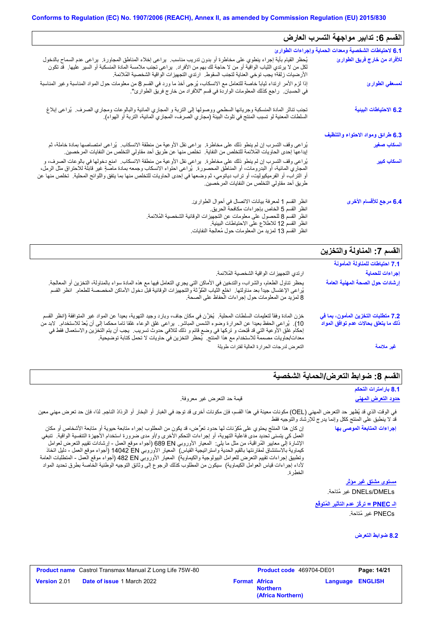| القسم 6: تدابير مواجهة التسرب العارض                                        |                                                                                                                                                                                                                                                                                                                                                                                                                                                                                    |
|-----------------------------------------------------------------------------|------------------------------------------------------------------------------------------------------------------------------------------------------------------------------------------------------------------------------------------------------------------------------------------------------------------------------------------------------------------------------------------------------------------------------------------------------------------------------------|
| 6.1 لاحتياطات الشخصية ومعدات الحماية وإجراءات الطوارئ                       |                                                                                                                                                                                                                                                                                                                                                                                                                                                                                    |
| للأفراد من خارج فريق الطوارئ                                                | يُحظر القيام بأية إجراء ينطوي على مخاطرة أو بدون ندريب مناسب.  يراعي إخلاء المناطق المجاورة.  يراعي عدم السماح بالدخول<br>لكل من لا يرتدي الثياب الواقية أو من لا حاجة لك بهم من الأفراد.  يراعى تجنب ملامسة المادة المنسكبة أو السير عليها.  قد تكون<br>الأرضيات زلقة؛ يجب توخي العناية لتجنب السقوط. ارتدي التجهيزات الواقية الشخصية المُلائمة.                                                                                                                                  |
| لمسعفي الطوارئ                                                              | إذا لزم الأمر ارتداء ثياباً خاصة للتعامل مع الانسكاب، يُرجى أخذ ما ورد في القسم 8 من معلومات حول المواد المناسبة وغير المناسبة<br>في الحسبان.   راجع كذلك المعلومات الواردة في قسم "للأفراد من خارج فريق الطوارئ".                                                                                                                                                                                                                                                                 |
| 6.2 الاحتياطات البينية                                                      | تجنب نناثر المادة المنسكبة وجريانها السطحي ووصولها إلى التربة و المجاري المائية والبالوعات ومجاري الصرف.  يُراعى إبلاغ<br>السلطات المعنية لو تسبب المنتج في تلوث البيئة (مجاري الصرف، المجاري المائية، التربة أو الهواء).                                                                                                                                                                                                                                                          |
| 6.3 طرائق ومواد الاحتواء والتنظيف                                           |                                                                                                                                                                                                                                                                                                                                                                                                                                                                                    |
| انسكاب صغير                                                                 | يُراعى وقف التسرب إن لم ينطو ذلك على مخاطرة.  يراعى نقل الأوعية من منطقة الانسكاب.  يُراعى امتصاصها بمادة خاملة، ثم<br>إيداعها إحدى الحاويات المُلائمة للتخلص من النفاية.  تخلص منها عن طريق أحد مقاولي التخلص من النفايات المر خصين.                                                                                                                                                                                                                                              |
| أنسكاب كبير                                                                 | يُراعي وقف التسرب إن لم ينطو ذلك على مخاطرة.  يراعي نقل الأوعية من منطقة الانسكاب.  امنع دخولها في بالوعات الصرف، و<br>المعباري المائية، أو البدرومات، أو المناطق المحصورة ¸ يُراعى احتواء الانسكاب وجمعه بمادة ماصةٍ غير قابلة للاحتراق مثل الرمل،<br>أو التراب، أو الفرميكيوليت، أو تراب دياتومي، ثم وضعها في إحدى الحاويات للتخلص منها بما يتفق واللوائح المحلية. تخلص منها عن<br>طريق أحد مقاولي التخلص من النفايات المرخصين.                                                  |
| 6.4 مرجع للأقسام الأخرى                                                     | انظر القسم 1 لمعرفة بيانات الاتصال في أحوال الطوارئ.<br>انظر القسم 5 الخاص بإجراءات مكافحة الحريق.<br>انظر القسم 8 للحصول على معلومات عن التجهيزات الوقائية الشخصية المُلائمة.<br>انظر القسم 12 للاطلاع على الاحتياطات البيئية.<br>انظر القسم 13 لمزيد من المعلومات حول مُعالجة النفايات                                                                                                                                                                                           |
| القسم 7: المناولة والتخزين                                                  |                                                                                                                                                                                                                                                                                                                                                                                                                                                                                    |
| 7.1 احتياطات للمناولة المأمونة                                              |                                                                                                                                                                                                                                                                                                                                                                                                                                                                                    |
| إجراءات للحماية                                                             | ارتدي التجهيز ات الواقية الشخصية المُلائمة.                                                                                                                                                                                                                                                                                                                                                                                                                                        |
| إرشادات حول الصحة المهنية العامة                                            | يحظر تناول الطعام، والشراب، والتدخين في الأماكن التي يجري التعامل فيها مع هذه المادة سواء بالمناولة، التخزين أو المعالجة.<br>يُراعى الإغتسال جيداً بعد مناولتها ٍ اخلع الثياب المُلوَّثة والتجهيزات الوقائية قبل دخول الأماكن المخصصمة للطعام ِ انظر القسم<br>8 لمزيد من المعلومات حول إجراءات الحفاظ على الصحة.                                                                                                                                                                   |
| 7.2 متطلبات التخزين المأمون، بما في<br>ذلك ما يتعلق بحالات عدم توافق المواد | خزن المادة وفقاً لتعليمات السلطات المحلية.  يُغزَّن في مكان جاف، وبارد وجيد التهوية، بعيداً عن المواد غير المنوافقة (انظر القسم<br>10). يُراعى الحفظ بعيدا عن الحرارة وضوء الشمس المباشر . يراعى غلق الوعاء غلقا تاما محكما إلى أن يُعدّ للاستخدام. لابد من<br>إحكام غلق الأوعية التي قد فُتِحت و تركها في وضع قائم و ذلك لتلافي حدوث تسريب.  يجب أن يتم التخزين والاستعمال فقط في<br>معدات/حاويات مصممة للاستخدام مع هذا المنتج . يُحظر التخزين في حاويات لا تحمل كتابة توضيحية . |

التعرض لدرجات الحرارة العالیة لفترات طویلة

#### **القسم :8 ضوابط التعرض/الحمایة الشخصیة**

**8.1 بارامترات التحكم**

**غیر ملائمة**

#### **حدود التعرض المھني** قیمة حد التعرض غیر معروفة.

في الوقت الذي قد یُظھر حد التعرض المھني (OEL (مكونات معینة في ھذا القسم، فإن مكونات أخرى قد توجد في الغبار أو البخار أو الرذاذ الناجم. لذا، فإن حد تعرض مھني معین قد لا ینطبق على المنتج ككل وإنما یدرج للإرشاد والتوجیھ فقط

إن كان ھذا المنتَج یحتوي على مُكوِّنات لھا حدود تعرُّض، قد یكون من المطلوب إجراء متابعة حیویة أو متابعة الأشخاص أو مكان العمل كي یتسنى تحدید مدى فاعلیة التھویة، أو إجراءات التحكم الأخرى و/أو مدى ضرورة استخدام الأجھِزة التنفسیة الواقیة. تنبغي الإشارة إلى معاییر المُراقَبة، من مثل ما یلي: المعیار الأوروبي EN 689) أجواء موقع العمل - إرشادات تقییم التعرض لعوامل كیماویة بالاستنشاق لمقارنتھا بالقیم الحدیة واستراتیجیة القیاس) المعیار الأوروبي EN 14042) أجواء موقع العمل - دلیل اتخاذ وتطبیق إجراءات تقییم التعرض للعوامل البیولوجیة والكیماویة) المعیار الأوروبي EN 482) أجواء موقع العمل - المتطلبات العامة لأداء إجراءات قیاس العوامل الكیماویة) سیكون من المطلوب كذلك الرجوع إلى وثائق التوجیھ الوطنیة الخاصة بطرق تحدید المواد الخطِرة.

DMELs/DNELs غیر مُتاحة. **مستوى مشتق غیر مؤثر**

**إجراءات المتابعة الموصى بھا**

**الـ PNEC = تركُّز عدم التأثیر المُتوقَّع** PNECs غیر مُتاحة.

**8.2 ضوابط التعرض**

|                     | <b>Product name</b> Castrol Transmax Manual Z Long Life 75W-80 |                      |                                      | Product code 469704-DE01<br>Page: 14/21 |  |
|---------------------|----------------------------------------------------------------|----------------------|--------------------------------------|-----------------------------------------|--|
| <b>Version 2.01</b> | <b>Date of issue 1 March 2022</b>                              | <b>Format Africa</b> | <b>Northern</b><br>(Africa Northern) | <b>Language ENGLISH</b>                 |  |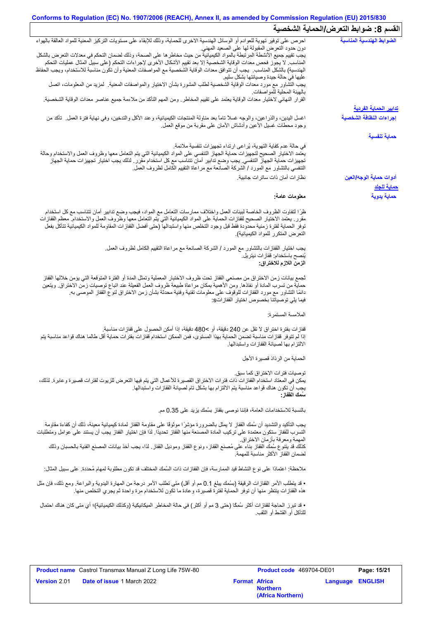#### **Conforms to Regulation (EC) No. 1907/2006 (REACH), Annex II, as amended by Commission Regulation (EU) 2015/830 القسم :8 ضوابط التعرض/الحمایة الشخصیة**

|                                                                                                                                                                                                                                               | — U — U — U —                                 |
|-----------------------------------------------------------------------------------------------------------------------------------------------------------------------------------------------------------------------------------------------|-----------------------------------------------|
| احرص على توفير تهوية للعوادم أو الوسائل الهندسية الاخرى للحماية، وذلك للإبقاء على مستويات التركيز المعنية للمواد العالقة بالهواء                                                                                                              | الضوابط الهندسية المناسبة                     |
| دون حدود النعرض المقبولة لها على الصعيد المهنى<br>يجب تقييم جميع الأنشطة المرتبطة بالمواد الكيميائية من حيث مخاطر ها على الصحة، وذلك لضمان التحكم في معدلات التعرض بالشكل                                                                     |                                               |
| المناسب لا يجوز فحص معدات الوقاية الشخصية إلا بعد تقييم الأشكال الأخرى لإجراءات التحكم (على سبيل المثال عمليات التحكم                                                                                                                         |                                               |
| الهندسية) بالشكل المناسب ِ يجب أن تتوافق معدات الوقاية الشخصية مع المواصفات المعنية وأن تكون مناسبة للاستخدام، ويجب الحفاظ<br>عليها في حالة جيدة وصيانتها بشكل سليم                                                                           |                                               |
| يجب التشاور مع مورد معدات الوقاية الشخصية لطلب المشورة بشأن الاختيار والمواصفات المعنية   لمزيد من المعلومات، اتصل<br>بالهيئة المحلية للمواصفات                                                                                               |                                               |
| القرار النهائي لاختيار معدات الوقاية يعتمد على تقييم المخاطر ـ ومن المهم التأكد من ملاءمة جميع عناصر معدات الوقاية الشخصية.                                                                                                                   |                                               |
|                                                                                                                                                                                                                                               | <u>تدابير الحماية الفردية</u>                 |
| اغسل اليدين، والذراعين، والوجه غسلاً تاماً بعد مناولة المنتجات الكيميائية، وعند الأكل والتدخين، وفي نهاية فترة العمل ِ تأكد من<br>وجود محطات غسلي الأعين وأدشاش الأمان على مقربة من موقع العمل                                                | إجراءات النظافة الشخصية                       |
|                                                                                                                                                                                                                                               | حماية تنفسية                                  |
| في حالة عدم كفاية التهوية، يُراعى ارتداء تجهيزات تنفسية ملائمة.                                                                                                                                                                               |                                               |
| يعتمد الاختيار الصحيح لتجهيزات حماية الجهاز التنفسي على المواد الكيميائية التي يتم التعامل معها وظروف العمل والاستخدام وحالة                                                                                                                  |                                               |
| تجهيزات حماية الجهاز التنفسي. يجب وضع تدابير أمان تتناسب مع كل استخدام مقرر . لذلك يجب اختيار تجهيزات حماية الجهاز                                                                                                                            |                                               |
| التنفسي بالتشاور مع المورد / الشركة الصانعة مع مراعاة التقييم الكامل لظروف العمل                                                                                                                                                              |                                               |
| نظار ات أمان ذات ساتر ات جانبية.                                                                                                                                                                                                              | أدوات حماية الوجه/العين<br><u>حماية للجلد</u> |
| معلومات عامة:                                                                                                                                                                                                                                 | حماية يدوية                                   |
| ظرًا لتفاوت الظروف الخاصة لبيئات العمل واختلاف ممارسات التعامل مع المواد، فيجب وضع تدابير أمان تتناسب مع كل استخدام                                                                                                                           |                                               |
| مقرر ٍ يعتمد الاختيار الصحيح لقفازات الحماية على المواد الكيميائية التي يتم التعامل معها وظروف العمل والاستخدام معظم القفازات                                                                                                                 |                                               |
| توفر الحماية لفترة زمنية محدودة فقط قبل وجود التخلص منها واستبدالها (حتى أفضل القفازات المقاومة للمواد الكيميائية تتآكل بفعل                                                                                                                  |                                               |
| التعرض المتكرر للمواد الكيميائية)                                                                                                                                                                                                             |                                               |
| يجب اختيار القفازات بالتشاور مع المورد / الشركة الصانعة مع مراعاة التقييم الكامل لظروف العمل.                                                                                                                                                 |                                               |
| يُنصح باستخدام: قفاز ات نيتريل.                                                                                                                                                                                                               |                                               |
| الزمن اللازم للاختراق:                                                                                                                                                                                                                        |                                               |
| تُجمع بيانات زمن الاختراق من مصنعي القفاز تحت ظروف الاختبار المعملية وتمثل المدة أو الفترة المتوقعة التي يؤمن خلالها القفاز                                                                                                                   |                                               |
| حماية من تسرب المادة أو نفاذها. ومن الأهمية بمكان مراعاة طبيعة ظروف العمل الفعيلة عند اتباع توصيات زمن الاختراق ويتعين                                                                                                                        |                                               |
| دائمًا التشاور مع مورد القفازات للوقوف على معلومات تقنية وفنية محدثة بشأن زمن الاختراق لنوع القفاز الموصىي به                                                                                                                                 |                                               |
| فيما يلي توصياتنا بخصوص اختيار القفازاتs:                                                                                                                                                                                                     |                                               |
| الملامسة المستمرة:                                                                                                                                                                                                                            |                                               |
| قفازات بفترة اختراق لا تقل عن 240 دقيقة، أو >480 دقيقة، إذا أمكن الحصول على قفازات مناسبة.                                                                                                                                                    |                                               |
| إذا لم تتوفر قفازات مناسبة تضمن الحماية بهذا المستوى، فمن الممكن استخدام قفازات بفترات حماية أقل طالما هناك قواعد مناسبة يتم                                                                                                                  |                                               |
| الالتزام بها لصيانة القفازات واستبدالها.                                                                                                                                                                                                      |                                               |
| الحماية من الرذاذ قصيرة الأجل                                                                                                                                                                                                                 |                                               |
| توصيات فتر ات الاختر اق كما سبق.                                                                                                                                                                                                              |                                               |
| يمكن في المعتاد استخدام القفاز ات ذات فترات الاختراق القصيرة للأعمال التي يتم فيها التعرض للزيوت لفترات قصيرة وعابرة. لذلك،                                                                                                                   |                                               |
| يجب أنّ تكون هناك قواعد مناسبة يتم الالتزام بها بشكل تام لصيانة القفازات واستبدالها.                                                                                                                                                          |                                               |
| سَمك الففاز :                                                                                                                                                                                                                                 |                                               |
| بالنسبة للاستخدامات العامة، فإننا نوصي بقفاز بسُمك يزيد على 0.35 مم.                                                                                                                                                                          |                                               |
| يجب التأكيد والتشديد أن سُمك القفاز لا يمثل بالضرورة مؤشرًا موثوقًا على مقاومة القفاز لمادة كيميائية معينة، ذلك أن كفاءة مقاومة                                                                                                               |                                               |
| التسرب للقفاز ستكون معتمدة على تركيب المادة المصنعة منها القفاز تحديدًا. لذا فإن اختيار القفاز يجب أن يستند على عوامل ومتطلبات                                                                                                                |                                               |
| المهمة ومعرفة بأزمان الاختراق.                                                                                                                                                                                                                |                                               |
| كذلك قد ينتوع سُمك القفاز بناء على مُصنع القفاز ، ونوع القفاز وموديل القفاز . لذا، يجب أخذ بيانات المصنع الفنية بالحسبان وذلك<br>لضمان القفاز الأكثر مناسبة للمهمة                                                                            |                                               |
| ملاحظة: اعتمادًا على نوع النشاط قيد الممارسة، فإن القفازات ذات السُمك المختلف قد تكون مطلوبة لمهام مُحددة. على سبيل المثال:                                                                                                                   |                                               |
|                                                                                                                                                                                                                                               |                                               |
| • قد يتطلب الأمر القفازات الرقيقة (بسُمك يبلغ 0.1 مم أو أقل) متى تطلب الأمر درجة من المهارة اليدوية والبراعة. ومع ذلك، فإن مثل<br>هذه القفازات ينتظر منها أن توفر الحماية لفترة قصيرة، وعادة ما تكون للاستخدام مرة واحدة ثم يجري التخلص منها. |                                               |
| • قد تبرز الحاجة لقفازات أكثر سُمكًا (حتى 3 مم أو أكثر) في حالة المخاطر الميكانيكية (وكذلك الكيميائية)؛ أي متى كان هناك احتمال                                                                                                                |                                               |
| للتأكل أو القشط أو الثقب                                                                                                                                                                                                                      |                                               |
|                                                                                                                                                                                                                                               |                                               |
|                                                                                                                                                                                                                                               |                                               |
|                                                                                                                                                                                                                                               |                                               |
|                                                                                                                                                                                                                                               |                                               |

**Version** 2.01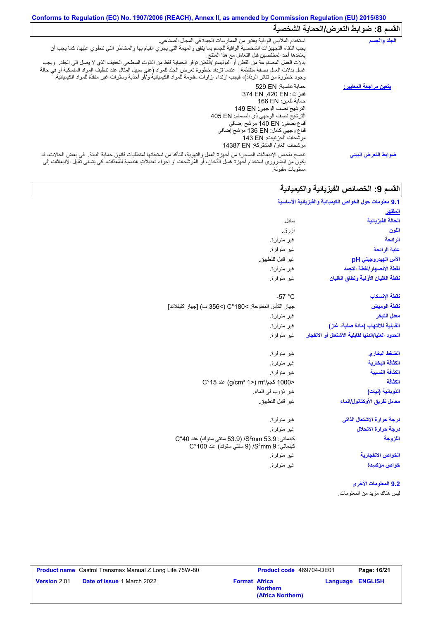#### **Conforms to Regulation (EC) No. 1907/2006 (REACH), Annex II, as amended by Commission Regulation (EU) 2015/830** القسم 8: ضوابط التع*ر*ض/الحماية الشخصية

| الجلد والجسم                   | استخدام الملابس الواقية يعتبر من الممارسات الجيدة في المجال الصناعي.<br>يجب انتقاء التجهيزات الشخصية الواقية للجسم بما يتفق والمهمة التي يجري القيام بها والمخاطر التي تنطوي عليها، كما يجب أن<br>يعتمدها أحد المختصين قبل التعامل مع هذا المنتج<br>بدلات العمل المصنوعة من القطن أو البوليستر/القطن توفر الحماية فقط من التلوث السطحي الخفيف الذي لا يصل إلى الجلد ٍ ويجب<br>غسل بدلات العمل بصفة منتظمة. عندما تزداد خطورة تعرض الجلد للمواد (على سبيل المثال عند تنظيف المواد المنسكبة أو في حالة<br>وجود خطورة من تناثر الرذاذ)، فيجب ارتداء إزارات مقاومة للمواد الكيميائية و/أو أحذية وسترات غير منفذة للمواد الكيميائية <sub>.</sub> |
|--------------------------------|---------------------------------------------------------------------------------------------------------------------------------------------------------------------------------------------------------------------------------------------------------------------------------------------------------------------------------------------------------------------------------------------------------------------------------------------------------------------------------------------------------------------------------------------------------------------------------------------------------------------------------------------|
| <u>يتعين مراجعة المعايير :</u> | حماية تنفسية: 529 EN<br>قفازات: 374 EN .420 EN<br>حماية للعين: 166 EN<br>الترشيح نصف الوجهي: 149 EN<br>الترشيح نصف الوجهي ذي الصمام: 405 EN<br>قناع نصفي: 140 EN مرشح إضافي<br>قناع وجهي كامل: 136 EN مرشح إضافي<br>مرشحات الجزئيات: 143 EN<br>مر شحات الغاز / المشتركة: 14387 EN                                                                                                                                                                                                                                                                                                                                                           |
| ضوابط التعرض البينى            | ننصح بفحص الإنبعاثات الصادرة من أجهزة العمل والتهوية، للتأكد من استيفائها لمتطلبات قانون حماية البيئة في بعض الحالات، قد<br>يكون من الضروري استخدام أجهزة غسل الدُّخان، أو المُرشِّحات أو إجراء تعديلاتٍ هندسية للمُعِدَّات، كي يتسنى تقليل الانبعاثات إلى<br>مستويات مقبولة                                                                                                                                                                                                                                                                                                                                                                |

# القسم 9: الخصائص الفیزیائیة والكیمیائیة<br>-

| 9.1 معلومات حول الخواص الكيميانية والفيزيانية الأساسية |                                                                                                 |
|--------------------------------------------------------|-------------------------------------------------------------------------------------------------|
| <u>المظهر</u>                                          |                                                                                                 |
| الحالة الفيزيائية                                      | سائل.                                                                                           |
| اللون                                                  | أزرق.                                                                                           |
| الرائحة                                                | غير متوفرة.                                                                                     |
| عتبة الرائحة                                           | غير متوفرة.                                                                                     |
| الأس الهيدروجيني pH                                    | غير قابل للتطبيق.                                                                               |
| نفطة الانصهار إنفطة التجمد                             | غير متوفرة.                                                                                     |
| نفطة الغليان الأولية ونطاق الغليان                     | غير متوفرة.                                                                                     |
| نقطة الإنسكاب                                          | $-57 °C$                                                                                        |
| نقطة الوميض                                            | جهاز الكأس المفتوحة: C°180< (>356 ف) [جهاز كليفلاند]                                            |
| معدل التبخر                                            | غير متوفرة                                                                                      |
| القابلية للالتهاب (مادة صلبة، غاز)                     | غير متوفرة.                                                                                     |
| الحدود العليا/الدنيا لقابلية الاشتعال أو الانفجار      | غير متوفرة.                                                                                     |
| الضغط البخاري                                          | غير متوفرة.                                                                                     |
| الكثافة البخارية                                       | غير متوفرة.                                                                                     |
| الكثافة النسبية                                        | غير متوفرة.                                                                                     |
| الكثافة                                                | <1000 كجم/m3 (<1 g/cm3 1) عند 15°C                                                              |
| الذوبانية (نيات)                                       | غير ذؤوب في الماء.                                                                              |
| معامل تفريق الأوكتانول/الماء                           | غير قابل للتطبيق.                                                                               |
| درجة حرارة الاشتعال الذاتى                             | غير متوفرة.                                                                                     |
| درجة حرارة الانحلال                                    | غير متوفرة.                                                                                     |
| اللزوجة                                                | كينماتي: 53.9 S2mm/ (53.9 سنتي ستوك) عند 40°C<br>كينماتي: S2mm 9) /S2mm 9) سنتي ستوك) عند 100°C |
| الخواص الانفجارية                                      | غير متوفرة.                                                                                     |
| خواص مؤكسيدة                                           | غير متوفرة.                                                                                     |
| 9.2 المعلومات الأخرى                                   |                                                                                                 |
| ليس هناك مزيد من المعلومات.                            |                                                                                                 |

|                     | <b>Product name</b> Castrol Transmax Manual Z Long Life 75W-80 |                      | Product code 469704-DE01             |                         | Page: 16/21 |
|---------------------|----------------------------------------------------------------|----------------------|--------------------------------------|-------------------------|-------------|
| <b>Version</b> 2.01 | <b>Date of issue 1 March 2022</b>                              | <b>Format Africa</b> | <b>Northern</b><br>(Africa Northern) | <b>Language ENGLISH</b> |             |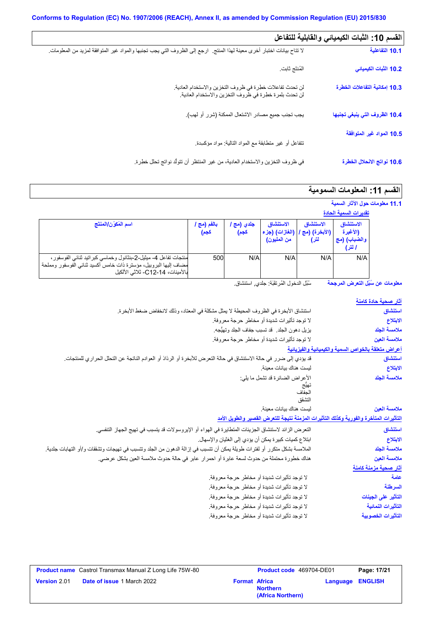$\Box$ 

| القسم 10: الثبات الكيميائي والقابلية للتفاعل |                                                                                                                           |
|----------------------------------------------|---------------------------------------------------------------------------------------------------------------------------|
| 10.1 التفاعلية                               | لا تتاح بيانات اختبار أخرى معينة لهذا المنتج   ارجع إلى الظروف التي يجب تجنبها والمواد غير المتوافقة لمزيد من المعلومات ِ |
| 10.2 الثبات الكيميائي                        | المُنتَج ثابت                                                                                                             |
| 10.3 إمكانية التفاعلات الخطرة                | لن تحدث تفاعلات خطرة في ظروف التخزين والاستخدام العادية.<br>لن تحدث بلمرة خطرة في ظروف التخزين والاستخدام العادية.        |
| 10.4 الظروف التي ينبغي تجنبها                | يجب تجنب جميع مصادر الاشتعال الممكنة (شرر أو لهب).                                                                        |
| 10.5 المواد غير المتوافقة                    |                                                                                                                           |
|                                              | نتفاعل أو غير متطابقة مع المواد النالية: مواد مؤكسدة.                                                                     |
| 10.6 نواتج الانحلال الخطرة                   | في ظروف التخزين والاستخدام العادية، من غير المنتظر أن تتولُّد نواتج تحلل خطِرة.                                           |

#### ال**قسم 11: المعلومات السمومية**

|                                                                                                                                                                           |                     |                    |                                              |                                      | 11.1 معلومات حول الآثار السمية<br>تقديرات السمية الحادة |  |
|---------------------------------------------------------------------------------------------------------------------------------------------------------------------------|---------------------|--------------------|----------------------------------------------|--------------------------------------|---------------------------------------------------------|--|
| اسم المُكوّن/المنتَج                                                                                                                                                      | بالفم (مج ا<br>كجم) | جلدي (مج ا<br>كجم) | الاستنشاق<br>(الغازات) (جزء  <br>من المليون) | الاستنشاق<br>(الأبخرة) (مج ا<br>لتر) | الاستنشاق<br>(الأغبرة<br>والضباب) (مج<br>ا لتر)         |  |
| منتجات تفاعل 4- ميثيل-2-بنثانول وخماسي كبر اتيد ثنائـي الفوسفور ،<br>مضاف إليها البروبيل، مؤسنرة ذات خامس أكسيد ثنائي الفوسفور ومملحة<br>بالأمينات، C12-14- ثلاثي الألكيل | 500                 | N/A                | N/A                                          | N/A                                  | N/A                                                     |  |

**معلومات عن سُبُل التعرض المرجحة** سُبُل الدخول المُرتقَبَة: جلدي, استنشاق.

| <u>آثار صحبة حادة كامنة</u>                                                           |
|---------------------------------------------------------------------------------------|
| استنشاق                                                                               |
| الابتلاع                                                                              |
| ملامسة الجلد                                                                          |
| ملامسة العين                                                                          |
| أعراض متعلقة بالخواص السمية والكيميانية والفيزيانية                                   |
| استنشاق                                                                               |
| الابتلاع                                                                              |
| ملامسة الجلد                                                                          |
|                                                                                       |
|                                                                                       |
| ملامسة العين                                                                          |
| التأثيرات المتأخرة والفورية وكذلك التأثيرات المزمنة نتيجة للتعرض القصير والطويل الأمد |
|                                                                                       |
| استنشاق                                                                               |
| الابتلاع                                                                              |
| ملامسة الجلد                                                                          |
| ملامسة العبن                                                                          |
| آثار صحبة مزمنة كامنة                                                                 |
| علمة                                                                                  |
| السرطنة                                                                               |
| التأثير على الجينات                                                                   |
| التأثير ات النمائية                                                                   |
| التأثيرات الخصوبية                                                                    |
|                                                                                       |

| <b>Product name</b> Castrol Transmax Manual Z Long Life 75W-80 |                                   | <b>Product code</b> 469704-DE01 |                                      | Page: 17/21             |  |
|----------------------------------------------------------------|-----------------------------------|---------------------------------|--------------------------------------|-------------------------|--|
| <b>Version 2.01</b>                                            | <b>Date of issue 1 March 2022</b> | <b>Format Africa</b>            | <b>Northern</b><br>(Africa Northern) | <b>Language ENGLISH</b> |  |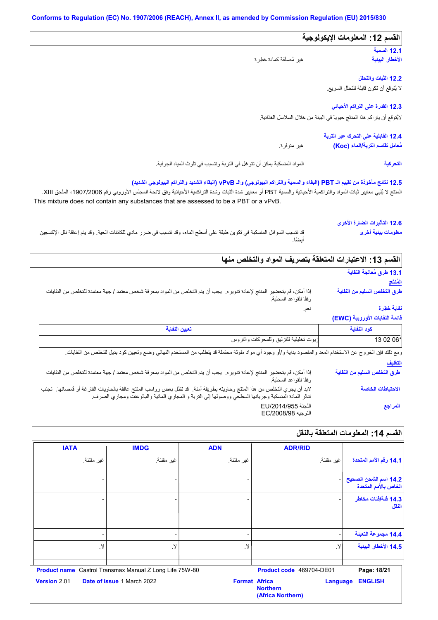#### المواد المنسكبة یمكن أن تتوغل في التربة وتتسبب في تلوث المیاه الجوفیة. **12.3 القدرة على التراكم الأحیائي 12.1 السمیة 12.2 الثبات والتحلل القسم :12 المعلومات الإیكولوجیة 12.4 القابلیة على التحرك عبر التربة** غیر متوفرة. **12.5 نتائج مأخوذة من تقییم الـ PBT) البقاء والسمیة والتراكم البیولوجي) والـ vPvB) البقاء الشدید والتراكم البیولوجي الشدید)** لا یُتوقع أن تكون قابلة للتحلل السریع. لایُتوقع أن یتراكم ھذا المنتَج حیویاً في البیئة من خلال السلاسل الغذائیة. قد تتسبب السوائل المنسكبة في تكوین طبقة على أسطح الماء، وقد تتسبب في ضرر مادي للكائنات الحیة. وقد یتم إعاقة نقل الإكسجین أیضًا. غیر مُصنَّفة كمادة خطِرة المنتج لا يُلبي معايير ثبات المواد والتراكمية الأحيائية والسمية PBT أو معايير شدة الثبراكمية الأحيائية وفق لائحة المجلس الأوروبي رقم 1907/2006 الملحق XIII. **الأخطار البیئیة مُعامل تقاسم التربة/الماء (Koc( التحركیة 12.6 التأثیرات الضارة الأخرى معلومات بیئیة أخرى** This mixture does not contain any substances that are assessed to be a PBT or a vPvB. نعم. إذا أمكن، قم بتحضیر المنتج لإعادة تدویره. یجب أن یتم التخلص من المواد بمعرفة شخص معتمد / جھة معتمدة للتخلص من النفایات وفقًا للقواعد المحلیة. **القسم :13 الاعتبارات المتعلقة بتصریف المواد والتخلص منھا 13.1 طرق مُعالجة النفایة المُنتَج طرق التخلص السلیم من النفایة نفایة خطِرة**

#### **قائمة النفایات الأوروبیة (EWC(**

| ريوت تخليقية للتزليق وللمحركلن<br>َ َ وَ التروس<br>ىت | 2 06* |
|-------------------------------------------------------|-------|

**التغلیف** ومع ذلك فإن الخروج عن الاستخدام المعد والمقصود بداية و/أو وجود أي مواد ملوثة محتملة قد يتطلب من المستخدم النهائي وضع وتعيين كود بديل للتخلص من النفايات.

| إذا أمكن، قم بتحضير المنتج لإعادة تدويره. يجب أن يتم التخلص من المواد بمعرفة شخص معتمد / جهة معتمدة للتخلص من النفايات<br>وفقًا للقواعد المحلية.                                                                                 | طرق التخلص السليم من النفاية |
|----------------------------------------------------------------------------------------------------------------------------------------------------------------------------------------------------------------------------------|------------------------------|
| لابد أن يجري التخلص من هذا المنتج وحاويته بطريقة آمنة.  قد تظل بعض رواسب المنتج عالقة بالحاويات الفارغة أو فمصانها.  تجنب<br>تناثر المادة المنسكبة وجريانها السطحي ووصولها إلى التربة و المجاري المائية والبالوعات ومجاري الصرف. | الاحتياطات الخاصة            |
| اللجنة EU/2014/955<br>التوجيه EC/2008/98                                                                                                                                                                                         | المراجع                      |

# **القسم :14 المعلومات المتعلقة بالنقل ADR/RID**

|                                               | <b>ADR/RID</b>                                                           | <b>ADN</b> | <b>IMDG</b>                                                    | <b>IATA</b>         |
|-----------------------------------------------|--------------------------------------------------------------------------|------------|----------------------------------------------------------------|---------------------|
| 14.1 رقم الأمم المتحدة                        | غير مقننة.                                                               | غير مقننة. | غير مقننة.                                                     | غير مقننة.          |
| 14.2 اسم الشحن الصحيح<br>الخاص بالأمم المتحدة |                                                                          |            |                                                                |                     |
| 14.3 فَنَة/فَنات مخاطر<br>النقل               |                                                                          |            |                                                                |                     |
| 14.4 مجموعة التعبنة                           |                                                                          | -          | -                                                              |                     |
| 14.5 الأخطار البينية                          | لا.                                                                      | $\lambda$  | لا.                                                            | لا.                 |
| Page: 18/21                                   | Product code 469704-DE01                                                 |            | <b>Product name</b> Castrol Transmax Manual Z Long Life 75W-80 |                     |
| <b>ENGLISH</b>                                | <b>Format Africa</b><br>Language<br><b>Northern</b><br>(Africa Northern) |            | Date of issue 1 March 2022                                     | <b>Version 2.01</b> |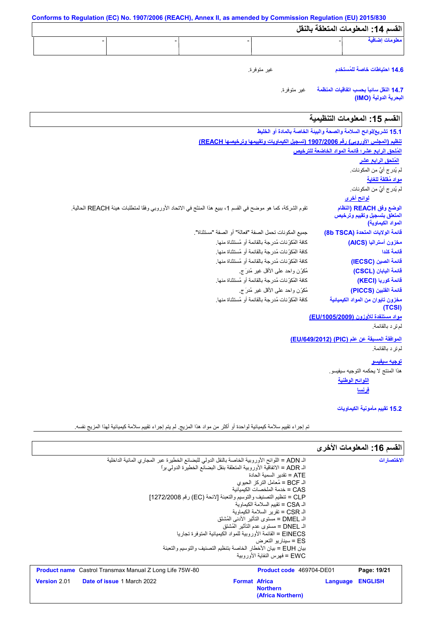| القسم 14: المعلومات المتعلقة بالنقل                                          |                                                                                                              |
|------------------------------------------------------------------------------|--------------------------------------------------------------------------------------------------------------|
| معلومات إضافية                                                               |                                                                                                              |
| 14.6 احتياطات خاصة للمُستخدم                                                 | غير متوفرة.                                                                                                  |
| 14.7 النفل سانبأ بحسب اتفاقيات المنظمة<br>البحرية الدولية (IMO)              | غير متوفرة.                                                                                                  |
| القسم 15: المعلومات التنظيمية                                                |                                                                                                              |
| 15.1 تشريع/لوائح السلامة والصحة والبيئة الخاصة بالمادة أو الخليط             |                                                                                                              |
|                                                                              | تنظيم (المجلس الأوروبي) رقم 1907/2006 (تسجيل الكيماويات وتقييمها وترخيصها REACH)                             |
| المُلحق الرابع عشر؛ قائمة المواد الخاضعة للترخيص                             |                                                                                                              |
| المُلحق الرابع عشر                                                           |                                                                                                              |
| لم يُدر ج أيٌّ من المكونات.                                                  |                                                                                                              |
| <u>مواد مُقلقة للغاية</u>                                                    |                                                                                                              |
| لم يُدر ج أيٌ من المكونات.                                                   |                                                                                                              |
| <u>لوائح أخرى</u>                                                            |                                                                                                              |
| الوضع وفق REACH (النظام<br>المنعلق بتسجيل وتقييم وترخيص<br>المواد الكيماوية) | تقوم الشركة، كما هو موضح في القسم 1، ببيع هذا المنتَج في الاتحاد الأوروبي وفقًا لمتطلبات هيئة REACH الحالية. |
| فَائِمة الولايات المتحدة (8b TSCA)                                           | جميع المكونات تحمل الصفة "فعالة" أو الصفة "مستثناة".                                                         |
| مخزون أستراليا (AICS)                                                        | كافة المُكوِّ نات مُدرِ جة بالقائمة أو مُستثناة منها.                                                        |
| قائمة كندا                                                                   | كافة المُكوِّ نات مُدرِ جة بالقائمة أو مُستثناة منها.                                                        |
| فَائِمة الصين (IECSC)                                                        | كافة المُكوِّ نات مُدرِ جة بالقائمة أو مُستثناة منها.                                                        |
| فَائمة اليابان (CSCL)                                                        | مُكوّزن واحد علمي الأقل غير مُدرَج.                                                                          |
| فَائمة كوريا (KECI)                                                          | كافة المُكرِّ نات مُدرجة بالقائمة أو مُستثناة منها.                                                          |
| فَائمة الفلبين (PICCS)                                                       | مُكوِّن واحد على الأقل غير مُدرَ ج                                                                           |
| مخزون تايوان من المواد الكيميائية<br>(TCSI)                                  | كافة المُكوِّ نات مُدرجة بالقائمة أو مُستثناة منها.                                                          |
| مواد مستنفدة للأوزون (EU/1005/2009)                                          |                                                                                                              |
| لم تر د بالقائمة.                                                            |                                                                                                              |
| الموافقة المسبقة عن علم (PIC) (EU/649/2012)                                  |                                                                                                              |
| لم تر د بالقائمة.                                                            |                                                                                                              |
| توجيه سيفيسو                                                                 |                                                                                                              |
| هذا المنتج لا يحكمه التوجيه سيفيسو.                                          |                                                                                                              |
| <u>اللوائح الوطنية</u>                                                       |                                                                                                              |
| <u>فرنسا</u>                                                                 |                                                                                                              |
| 15.2 تقييم مأمونية الكيماويات                                                |                                                                                                              |

|                                                                                               |                                                                 |                          | القسم 16: المعلومات الأخرى |
|-----------------------------------------------------------------------------------------------|-----------------------------------------------------------------|--------------------------|----------------------------|
| الـ ADN = اللوائح الأوروبية الخاصة بالنقل الدولي للبضائع الخطيرة عبر المجاري المائية الداخلية |                                                                 |                          | الاختصار ات                |
| الـ ADR = الإتفاقية الأوروبية المتعلقة بنقل البضائع الخطير ة الدولي براً                      |                                                                 |                          |                            |
|                                                                                               | ATE = تقدبر   السمبة الحادة                                     |                          |                            |
|                                                                                               | الـ BCF = مُعامل التركز  الحيو ي                                |                          |                            |
|                                                                                               | CAS = خدمة الملخصات الكىمىائية                                  |                          |                            |
| CLP = تنظيم التصنيف والتوسيم والتعبئة [لائحة (EC) رقم 1272/2008]                              |                                                                 |                          |                            |
|                                                                                               | الـ CSA = تقييم السلامة الكيماو ية                              |                          |                            |
|                                                                                               | الـ CSR = تقرير السلامة الكيماوية                               |                          |                            |
|                                                                                               | الـ DMEL = مستوى التأثير  الأدنى المُشتَق                       |                          |                            |
|                                                                                               | الـ DNEL = مستوى عدم التأثير المُشتق                            |                          |                            |
|                                                                                               | EINECS = القائمة الأور وبية للمواد الكبمبائية المتوفر ة تجار با |                          |                            |
|                                                                                               | ES = سينار يو التعرض                                            |                          |                            |
| بيان EUH = بيان الأخطار  الخاصة بتنظيم التصنيف و التوسيم و التعبئة                            |                                                                 |                          |                            |
|                                                                                               | EWC = فهر س النفاية الأور ويبة                                  |                          |                            |
| <b>Product name</b> Castrol Transmax Manual Z Long Life 75W-80                                |                                                                 | Product code 469704-DE01 | Page: 19/21                |
| <b>Version 2.01</b><br><b>Date of issue 1 March 2022</b>                                      | <b>Format Africa</b>                                            | Language                 | <b>ENGLISH</b>             |
|                                                                                               | <b>Northern</b>                                                 |                          |                            |
|                                                                                               | (Africa Northern)                                               |                          |                            |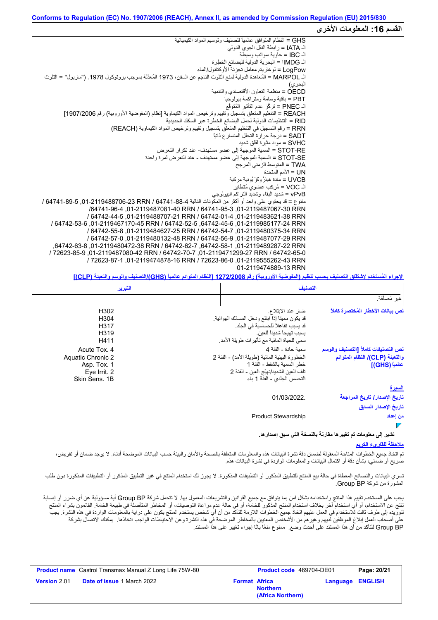#### **القسم :16 المعلومات الأخرى** GHS = النظام المتوافق عالمیاً لتصنیف وتوسیم المواد الكیمیائیة الـ IATA = رابطة النقل الجوي الدولي الـ IBC = حاویة سوائب وسیطة الـ IMDGا = البحریة الدولیة للبضائع الخطِرة LogPow = لوغاریتم معامل تجزئة الأوكتانول/الماء الـ MARPOL = المُعاھدة الدولیة لمنع التلوث الناجم عن السفن، 1973 المُعدَّلة بموجب بروتوكول .1978 ("ماربول" = التلوث البحري) OECD = منظمة التعاون الأقتصادي والتنمیة PBT = باقیة وسامة ومتراكمة بیولوجیا الـ PNEC = تركُّز عدم التأثیر المُتوقَّع REACH = التنظیم المتعلق بتسجیل وتقییم وترخیص المواد الكیماویة [نظام (المفوضیة الأوروبیة) رقم 1907/2006] RID = التنظیمات الدولیة لحمل البضائع الخطرة عبر السكك الحدیدیة RRN = رقم التسجیل في التنظیم المتعلق بتسجیل وتقییم وترخیص المواد الكیماویة (REACH( SADT = درجة حرارة التحلل المتسارع ذاتیاً SVHC = مواد مثیرة لقلق شدید RE-STOT = السمیة الموجھة إلى عضو مستھدف- عند تكرار التعرض SE-STOT = السمیة الموجھة إلى عضو مستھدف - عند التعرض لمرة واحدة TWA = المتوسط الزمني المرجح UN = الأمم المتحدة<br>UVCB = مادة هيئرُ وكَرْ بُونية مركبة SVHC = مواد مثيرة لقلق شديد<br>STOT-RE = السمية الموجهة إلى .<br>STOT-SE = السمية الموجهة إلى .<br>TWA = المنوسط الزمني المرجح<br>UVCB = مادة هيئرُ ركَّرٌ بُونية مركبة<br>UVCB = مُركب عضوي مُتطاير vPvB = شدید البقاء وشدید التراكم البیولوجي متنوع = قد يحتوي على واحد أو أكثر من المكونات التالية 64741-88-64706-23 RRN / 64741-89-6 / 64741-89-6 / /64741-96-4 ,01-2119487081-40 RRN / 64741-95-3 ,01-2119487067-30 RRN / 64742-44-5 ,01-2119488707-21 RRN / 64742-01-4 ,01-2119483621-38 RRN / 64742-53-6 ,01-2119467170-45 RRN / 64742-52-5 ,64742-45-6 ,01-2119985177-24 RRN / 64742-55-8 ,01-2119484627-25 RRN / 64742-54-7 ,01-2119480375-34 RRN / 64742-57-0 ,01-2119480132-48 RRN / 64742-56-9 ,01-2119487077-29 RRN ,64742-63-8 ,01-2119480472-38 RRN / 64742-62-7 ,64742-58-1 ,01-2119489287-22 RRN / 72623-85-9 ,01-2119487080-42 RRN / 64742-70-7 ,01-2119471299-27 RRN / 64742-65-0 / 72623-87-1 ,01-2119474878-16 RRN / 72623-86-0 ,01-2119555262-43 RRN 01-2119474889-13 RRN

**الإجراء المُستخدم لاشتقاق التصنیف بحسب تنظیم (المفوضیة الأوروبیة) رقم 1272/2008 [النظام المتوائم عالمیاً (GHS(/التصنیف والوسم والتعبئة (CLP[(**

|                                                                                         | التصنيف                                                                                                                                                                              | التبرير |                                                                                   |
|-----------------------------------------------------------------------------------------|--------------------------------------------------------------------------------------------------------------------------------------------------------------------------------------|---------|-----------------------------------------------------------------------------------|
| غير مُصنَّفة.                                                                           |                                                                                                                                                                                      |         |                                                                                   |
| نص بيانات الأخطار المُختصرة كاملأ                                                       | ضار عند الابتلاع<br>قد يكون مميناً إذا ابتلع ودخل المسالك الهوائية.<br>قد يسبب تفاعلاً للحساسية في الجلد.<br>يسبب تهيجاً شديداً للعين.<br>سمي للحياة المائية مع تأثيرات طويلة الأمد. |         | H302<br>H304<br>H317<br>H319<br>H411                                              |
| نص التصنيفات كاملأ [التصنيف والوسم<br>والتعبنة (CLP)/ النظام المتوائم<br>عالمياً (GHS)] | سمبة حادة - الفئة 4<br>الخطورة البيئية المائية (طويلة الأمد) - الفئة 2<br>خطر السمبة بالشفط - الفئة 1<br>تلف العين الشديد/تهيّج العين - الفئة 2<br>التحسس الجلدي - الفئة 1 باء       |         | Acute Tox, 4<br>Aquatic Chronic 2<br>Asp. Tox. 1<br>Eye Irrit. 2<br>Skin Sens, 1B |
| <u>السيرة</u>                                                                           |                                                                                                                                                                                      |         |                                                                                   |
| تاريخ الإصدار / تاريخ المراجعة<br>تاريخ الإصدار السابق                                  | 01/03/2022.                                                                                                                                                                          |         |                                                                                   |
| من إعداد                                                                                | <b>Product Stewardship</b>                                                                                                                                                           |         |                                                                                   |
| تشير إلى معلومات تم تغيير ها مفارنة بالنسخة التي سبق إصدار ها.                          |                                                                                                                                                                                      |         |                                                                                   |

#### **ملاحظة للقاريء الكریم**

تم اتخاذ جميع الخطوات المتعولة لضمان دقة نشرة البيانات هذه والمعلومات المتعلقة بالصحة والأمان والبيئة حسب البيانات الموضحة أدناه. لا يوجد ضمان أو تفويض، صریح أو ضمني، بشأن دقة أو اكتمال البیانات والمعلومات الواردة في نشرة البیانات ھذه.

تسري البیانات والنصائح المعطاة في حالة بیع المنتج للتطبیق المنكور التارستان التاریخ الاستخدام المنتج في غیر التطبیقات المذكور أو التطبیقات المذكورة دون طلب المشورة من شركة BP Group.

یجب على المستخدم تقییم ھذا المنتج واستخدامھ بشكل آمن بما یتوافق مع جمیع القوانین والتشریعات المعمول بھا. لا تتحمل شركة BP Group أیة مسؤولیة عن أي ضرر أو إصابة تنتج عن الاستخدام، أو أي استخدام آخر بخلاف استخدام المنتج المذكور للخامة، أو غيم ملاحاة التوصيات، أو المخاطر المتأصلة في طبيعة الخامة. القائمون بشراء المنتج لتوریده إلى طرف ثالث للاستخدام في العمل علیھم اتخاذ جمیع الخطوات اللازمة للتأكد من أن أي شخص یستخدم المنتج یكون على درایة بالمعلومات الواردة في ھذه النشرة. یجب على أصحاب العمل إبلاغ الموظفین لدیھم وغیرھم من الأشخاص المعنیین بالمخاطر الموضحة في ھذه النشرة وعن الاحتیاطات الواجب اتخاذھا. یمكنك الاتصال بشركة BP Group للتأكد من أن ھذا المستند على أحدث وضع. ممنوع منعًا باتًا إجراء تغییر على ھذا المستند.

|                     | <b>Product name</b> Castrol Transmax Manual Z Long Life 75W-80 |                      | Product code 469704-DE01             |                         | Page: 20/21 |
|---------------------|----------------------------------------------------------------|----------------------|--------------------------------------|-------------------------|-------------|
| <b>Version 2.01</b> | <b>Date of issue 1 March 2022</b>                              | <b>Format Africa</b> | <b>Northern</b><br>(Africa Northern) | <b>Language ENGLISH</b> |             |